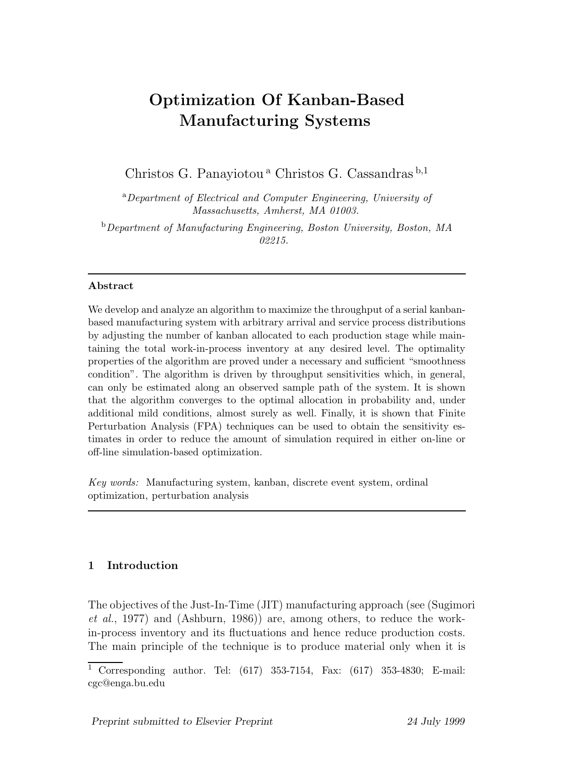# **Optimization Of Kanban-Based Manufacturing Systems**

Christos G. Panayiotou<sup>a</sup> Christos G. Cassandras<sup>b,1</sup>

<sup>a</sup>*Department of Electrical and Computer Engineering, University of Massachusetts, Amherst, MA 01003.*

<sup>b</sup>*Department of Manufacturing Engineering, Boston University, Boston, MA 02215.*

# **Abstract**

We develop and analyze an algorithm to maximize the throughput of a serial kanbanbased manufacturing system with arbitrary arrival and service process distributions by adjusting the number of kanban allocated to each production stage while maintaining the total work-in-process inventory at any desired level. The optimality properties of the algorithm are proved under a necessary and sufficient "smoothness condition". The algorithm is driven by throughput sensitivities which, in general, can only be estimated along an observed sample path of the system. It is shown that the algorithm converges to the optimal allocation in probability and, under additional mild conditions, almost surely as well. Finally, it is shown that Finite Perturbation Analysis (FPA) techniques can be used to obtain the sensitivity estimates in order to reduce the amount of simulation required in either on-line or off-line simulation-based optimization.

*Key words:* Manufacturing system, kanban, discrete event system, ordinal optimization, perturbation analysis

# **1 Introduction**

The objectives of the Just-In-Time (JIT) manufacturing approach (see (Sugimori *et al.*, 1977) and (Ashburn, 1986)) are, among others, to reduce the workin-process inventory and its fluctuations and hence reduce production costs. The main principle of the technique is to produce material only when it is

 $\overline{1}$  Corresponding author. Tel: (617) 353-7154, Fax: (617) 353-4830; E-mail: cgc@enga.bu.edu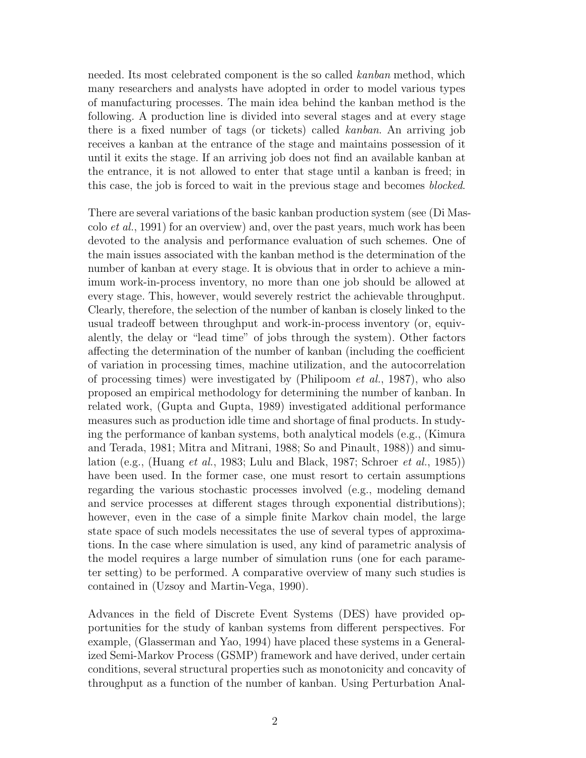needed. Its most celebrated component is the so called kanban method, which many researchers and analysts have adopted in order to model various types of manufacturing processes. The main idea behind the kanban method is the following. A production line is divided into several stages and at every stage there is a fixed number of tags (or tickets) called kanban. An arriving job receives a kanban at the entrance of the stage and maintains possession of it until it exits the stage. If an arriving job does not find an available kanban at the entrance, it is not allowed to enter that stage until a kanban is freed; in this case, the job is forced to wait in the previous stage and becomes *blocked*.

There are several variations of the basic kanban production system (see (Di Mascolo *et al.*, 1991) for an overview) and, over the past years, much work has been devoted to the analysis and performance evaluation of such schemes. One of the main issues associated with the kanban method is the determination of the number of kanban at every stage. It is obvious that in order to achieve a minimum work-in-process inventory, no more than one job should be allowed at every stage. This, however, would severely restrict the achievable throughput. Clearly, therefore, the selection of the number of kanban is closely linked to the usual tradeoff between throughput and work-in-process inventory (or, equivalently, the delay or "lead time" of jobs through the system). Other factors affecting the determination of the number of kanban (including the coefficient of variation in processing times, machine utilization, and the autocorrelation of processing times) were investigated by (Philipoom  $et al., 1987$ ), who also proposed an empirical methodology for determining the number of kanban. In related work,(Gupta and Gupta,1989) investigated additional performance measures such as production idle time and shortage of final products. In studying the performance of kanban systems, both analytical models (e.g., (Kimura) and Terada,1981; Mitra and Mitrani,1988; So and Pinault,1988)) and simulation (e.g., (Huang et al., 1983; Lulu and Black, 1987; Schroer et al., 1985)) have been used. In the former case, one must resort to certain assumptions regarding the various stochastic processes involved (e.g., modeling demand and service processes at different stages through exponential distributions); however, even in the case of a simple finite Markov chain model, the large state space of such models necessitates the use of several types of approximations. In the case where simulation is used,any kind of parametric analysis of the model requires a large number of simulation runs (one for each parameter setting) to be performed. A comparative overview of many such studies is contained in (Uzsoy and Martin-Vega,1990).

Advances in the field of Discrete Event Systems (DES) have provided opportunities for the study of kanban systems from different perspectives. For example, (Glasserman and Yao, 1994) have placed these systems in a Generalized Semi-Markov Process (GSMP) framework and have derived, under certain conditions, several structural properties such as monotonicity and concavity of throughput as a function of the number of kanban. Using Perturbation Anal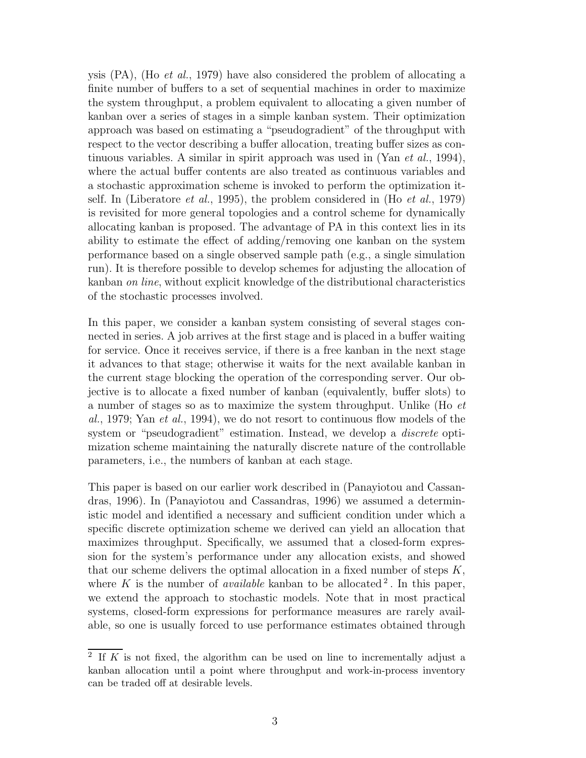ysis  $(PA)$ , (Ho *et al.*, 1979) have also considered the problem of allocating a finite number of buffers to a set of sequential machines in order to maximize the system throughput, a problem equivalent to allocating a given number of kanban over a series of stages in a simple kanban system. Their optimization approach was based on estimating a "pseudogradient" of the throughput with respect to the vector describing a buffer allocation, treating buffer sizes as continuous variables. A similar in spirit approach was used in  $(Van \text{ } et \text{ } al., 1994),$ where the actual buffer contents are also treated as continuous variables and a stochastic approximation scheme is invoked to perform the optimization itself. In (Liberatore *et al.*, 1995), the problem considered in (Ho *et al.*, 1979) is revisited for more general topologies and a control scheme for dynamically allocating kanban is proposed. The advantage of PA in this context lies in its ability to estimate the effect of adding/removing one kanban on the system performance based on a single observed sample path  $(e.g.,a)$  single simulation run). It is therefore possible to develop schemes for adjusting the allocation of kanban on line, without explicit knowledge of the distributional characteristics of the stochastic processes involved.

In this paper, we consider a kanban system consisting of several stages connected in series. A job arrives at the first stage and is placed in a buffer waiting for service. Once it receives service, if there is a free kanban in the next stage it advances to that stage; otherwise it waits for the next available kanban in the current stage blocking the operation of the corresponding server. Our objective is to allocate a fixed number of kanban (equivalently, buffer slots) to a number of stages so as to maximize the system throughput. Unlike (Ho et al., 1979; Yan et al., 1994), we do not resort to continuous flow models of the system or "pseudogradient" estimation. Instead, we develop a *discrete* optimization scheme maintaining the naturally discrete nature of the controllable parameters, i.e., the numbers of kanban at each stage.

This paper is based on our earlier work described in (Panayiotou and Cassandras,1996). In (Panayiotou and Cassandras,1996) we assumed a deterministic model and identified a necessary and sufficient condition under which a specific discrete optimization scheme we derived can yield an allocation that maximizes throughput. Specifically, we assumed that a closed-form expression for the system's performance under any allocation exists, and showed that our scheme delivers the optimal allocation in a fixed number of steps  $K$ , where K is the number of *available* kanban to be allocated <sup>2</sup>. In this paper, we extend the approach to stochastic models. Note that in most practical systems, closed-form expressions for performance measures are rarely available, so one is usually forced to use performance estimates obtained through

 $\overline{2}$  If K is not fixed, the algorithm can be used on line to incrementally adjust a kanban allocation until a point where throughput and work-in-process inventory can be traded off at desirable levels.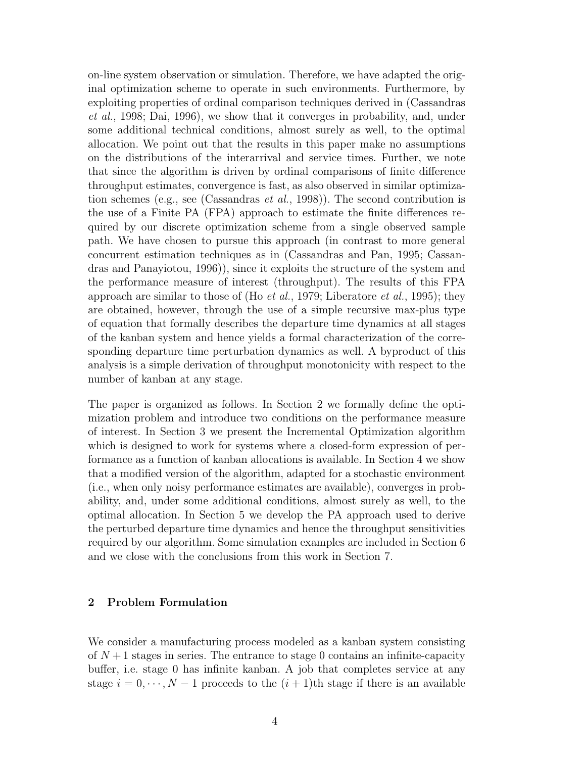on-line system observation or simulation. Therefore, we have adapted the original optimization scheme to operate in such environments. Furthermore, by exploiting properties of ordinal comparison techniques derived in (Cassandras  $et al., 1998; Dai, 1996$ , we show that it converges in probability, and, under some additional technical conditions, almost surely as well, to the optimal allocation. We point out that the results in this paper make no assumptions on the distributions of the interarrival and service times. Further, we note that since the algorithm is driven by ordinal comparisons of finite difference throughput estimates, convergence is fast, as also observed in similar optimization schemes (e.g., see (Cassandras *et al.*, 1998)). The second contribution is the use of a Finite PA (FPA) approach to estimate the finite differences required by our discrete optimization scheme from a single observed sample path. We have chosen to pursue this approach (in contrast to more general concurrent estimation techniques as in (Cassandras and Pan,1995; Cassandras and Panayiotou,  $1996$ ), since it exploits the structure of the system and the performance measure of interest (throughput). The results of this FPA approach are similar to those of (Ho *et al.*, 1979; Liberatore *et al.*, 1995); they are obtained, however, through the use of a simple recursive max-plus type of equation that formally describes the departure time dynamics at all stages of the kanban system and hence yields a formal characterization of the corresponding departure time perturbation dynamics as well. A byproduct of this analysis is a simple derivation of throughput monotonicity with respect to the number of kanban at any stage.

The paper is organized as follows. In Section 2 we formally define the optimization problem and introduce two conditions on the performance measure of interest. In Section 3 we present the Incremental Optimization algorithm which is designed to work for systems where a closed-form expression of performance as a function of kanban allocations is available. In Section 4 we show that a modified version of the algorithm, adapted for a stochastic environment (i.e., when only noisy performance estimates are available), converges in probability, and, under some additional conditions, almost surely as well, to the optimal allocation. In Section 5 we develop the PA approach used to derive the perturbed departure time dynamics and hence the throughput sensitivities required by our algorithm. Some simulation examples are included in Section 6 and we close with the conclusions from this work in Section 7.

# **2 Problem Formulation**

We consider a manufacturing process modeled as a kanban system consisting of  $N+1$  stages in series. The entrance to stage 0 contains an infinite-capacity buffer, i.e. stage 0 has infinite kanban. A job that completes service at any stage  $i = 0, \dots, N-1$  proceeds to the  $(i + 1)$ th stage if there is an available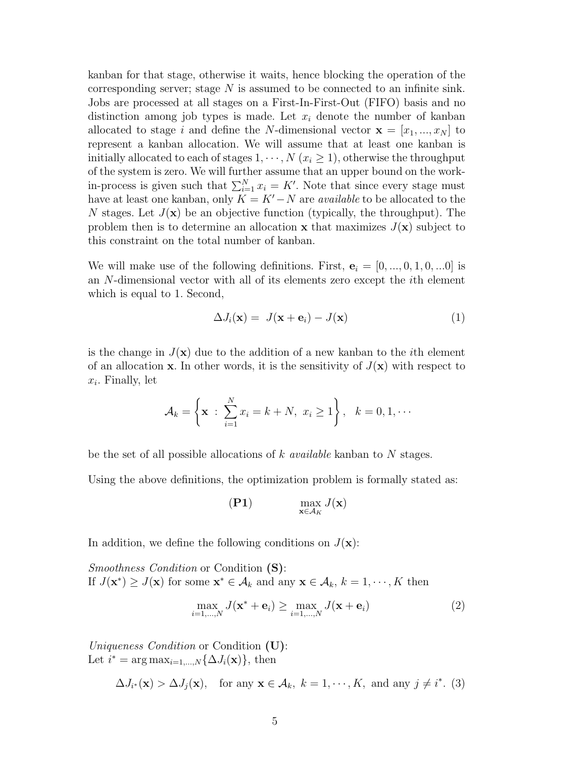kanban for that stage, otherwise it waits, hence blocking the operation of the corresponding server; stage  $N$  is assumed to be connected to an infinite sink. Jobs are processed at all stages on a First-In-First-Out (FIFO) basis and no distinction among job types is made. Let  $x_i$  denote the number of kanban allocated to stage i and define the N-dimensional vector  $\mathbf{x} = [x_1, ..., x_N]$  to represent a kanban allocation. We will assume that at least one kanban is initially allocated to each of stages  $1, \dots, N$  ( $x_i \geq 1$ ), otherwise the throughput of the system is zero. We will further assume that an upper bound on the workin-process is given such that  $\sum_{i=1}^{N} x_i = K'$ . Note that since every stage must<br>have at least one kanhan, only  $K - K' - N$  are quailable to be allocated to the have at least one kanban, only  $K = K' - N$  are *available* to be allocated to the  $N$  stages. Let  $I(\mathbf{x})$  be an objective function (typically the throughout). The N stages. Let  $J(\mathbf{x})$  be an objective function (typically, the throughput). The problem then is to determine an allocation **x** that maximizes  $J(\mathbf{x})$  subject to this constraint on the total number of kanban.

We will make use of the following definitions. First,  $\mathbf{e}_i = [0, ..., 0, 1, 0, ...0]$  is an N-dimensional vector with all of its elements zero except the ith element which is equal to 1. Second,

$$
\Delta J_i(\mathbf{x}) = J(\mathbf{x} + \mathbf{e}_i) - J(\mathbf{x})
$$
\n(1)

is the change in  $J(\mathbf{x})$  due to the addition of a new kanban to the *i*th element of an allocation **x**. In other words, it is the sensitivity of  $J(\mathbf{x})$  with respect to  $x_i$ . Finally, let

$$
\mathcal{A}_k = \left\{ \mathbf{x} \;:\; \sum_{i=1}^N x_i = k+N, \; x_i \ge 1 \right\}, \quad k=0,1,\cdots
$$

be the set of all possible allocations of  $k$  *available* kanban to  $N$  stages.

Using the above definitions, the optimization problem is formally stated as:

$$
\max_{\mathbf{x} \in \mathcal{A}_K} J(\mathbf{x})
$$

In addition, we define the following conditions on  $J(\mathbf{x})$ :

Smoothness Condition or Condition **(S)**: If  $J(\mathbf{x}^*) \geq J(\mathbf{x})$  for some  $\mathbf{x}^* \in A_k$  and any  $\mathbf{x} \in A_k$ ,  $k = 1, \dots, K$  then

$$
\max_{i=1,\dots,N} J(\mathbf{x}^* + \mathbf{e}_i) \ge \max_{i=1,\dots,N} J(\mathbf{x} + \mathbf{e}_i)
$$
\n(2)

Uniqueness Condition or Condition **(U)**: Let  $i^* = \arg \max_{i=1,\dots,N} \{\Delta J_i(\mathbf{x})\}\text{, then}$ 

 $\Delta J_{i^*}(\mathbf{x}) > \Delta J_j(\mathbf{x})$ , for any  $\mathbf{x} \in A_k$ ,  $k = 1, \dots, K$ , and any  $j \neq i^*$ . (3)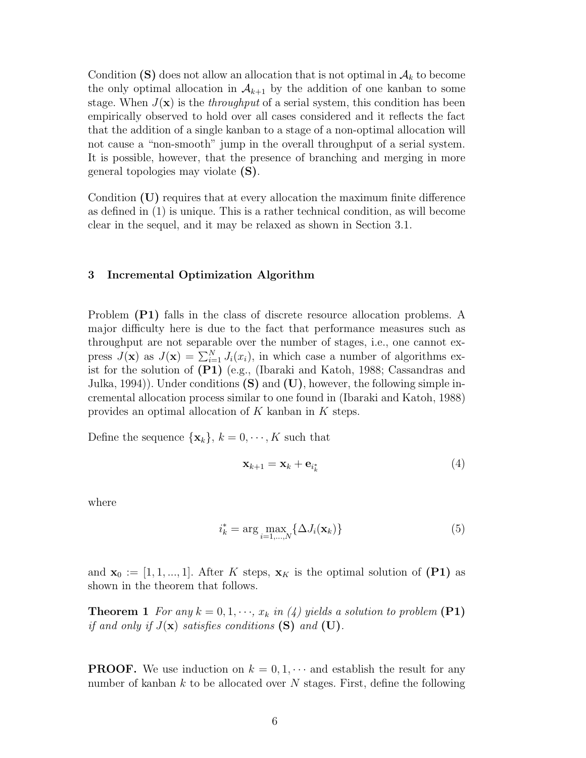Condition **(S)** does not allow an allocation that is not optimal in  $A_k$  to become the only optimal allocation in  $A_{k+1}$  by the addition of one kanban to some stage. When  $J(\mathbf{x})$  is the *throughput* of a serial system, this condition has been empirically observed to hold over all cases considered and it reflects the fact that the addition of a single kanban to a stage of a non-optimal allocation will not cause a "non-smooth" jump in the overall throughput of a serial system. It is possible, however, that the presence of branching and merging in more general topologies may violate **(S)**.

Condition **(U)** requires that at every allocation the maximum finite difference as defined in  $(1)$  is unique. This is a rather technical condition, as will become clear in the sequel, and it may be relaxed as shown in Section 3.1.

#### **3 Incremental Optimization Algorithm**

Problem **(P1)** falls in the class of discrete resource allocation problems. A major difficulty here is due to the fact that performance measures such as throughput are not separable over the number of stages, i.e., one cannot express  $J(\mathbf{x})$  as  $J(\mathbf{x}) = \sum_{i=1}^{N} J_i(x_i)$ , in which case a number of algorithms ex-<br>ist for the solution of **(P1)** (e.g. (Ibaraki and Katob, 1988; Cassandras and ist for the solution of **(P1)** (e.g.,(Ibaraki and Katoh,1988; Cassandras and Julka, 1994)). Under conditions  $(S)$  and  $(U)$ , however, the following simple incremental allocation process similar to one found in (Ibaraki and Katoh,1988) provides an optimal allocation of K kanban in K steps.

Define the sequence  $\{\mathbf{x}_k\}, k = 0, \dots, K$  such that

$$
\mathbf{x}_{k+1} = \mathbf{x}_k + \mathbf{e}_{i_k^*} \tag{4}
$$

where

$$
i_k^* = \arg\max_{i=1,\dots,N} \{\Delta J_i(\mathbf{x}_k)\}\tag{5}
$$

and  $\mathbf{x}_0 := [1, 1, ..., 1]$ . After K steps,  $\mathbf{x}_K$  is the optimal solution of **(P1)** as shown in the theorem that follows.

**Theorem 1** For any  $k = 0, 1, \dots, x_k$  in (4) yields a solution to problem **(P1)** if and only if  $J(\mathbf{x})$  satisfies conditions **(S)** and **(U)**.

**PROOF.** We use induction on  $k = 0, 1, \cdots$  and establish the result for any number of kanban k to be allocated over N stages. First, define the following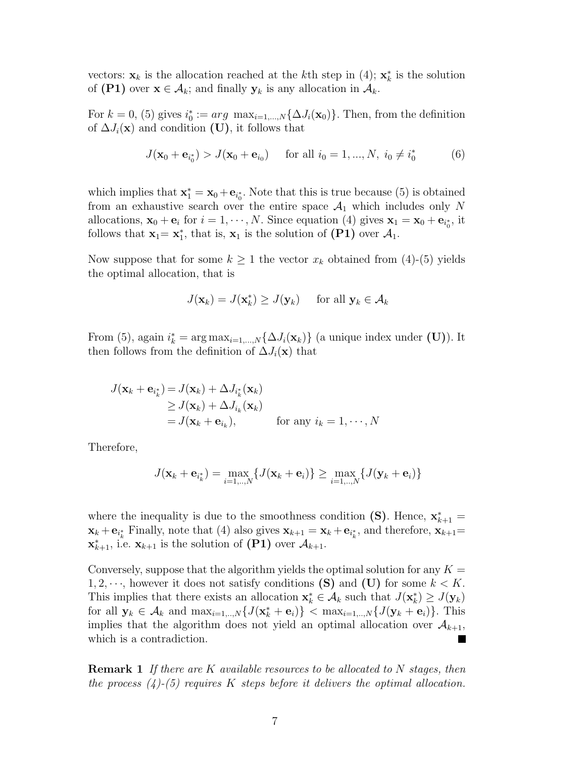vectors:  $\mathbf{x}_k$  is the allocation reached at the kth step in (4);  $\mathbf{x}_k^*$  is the solution<br>of (P1) over  $\mathbf{x} \in A$ , and finally  $\mathbf{y}_k$  is any allocation in A. of  $(\mathbf{P1})$  over  $\mathbf{x} \in \mathcal{A}_k$ ; and finally  $\mathbf{y}_k$  is any allocation in  $\mathcal{A}_k$ .

For  $k = 0$ , (5) gives  $i_0^* := arg \max_{i=1,\dots,N} {\{\Delta J_i(\mathbf{x}_0)\}}$ . Then, from the definition of  $\Delta L(\mathbf{x})$  and condition (II) it follows that of  $\Delta J_i(\mathbf{x})$  and condition **(U)**, it follows that

$$
J(\mathbf{x}_0 + \mathbf{e}_{i_0^*}) > J(\mathbf{x}_0 + \mathbf{e}_{i_0}) \quad \text{ for all } i_0 = 1, ..., N, \ i_0 \neq i_0^* \tag{6}
$$

which implies that  $\mathbf{x}_1^* = \mathbf{x}_0 + \mathbf{e}_{i_0^*}$ . Note that this is true because (5) is obtained from an exhaustive search over the entire space  $A_1$  which includes only N allocations,  $\mathbf{x}_0 + \mathbf{e}_i$  for  $i = 1, \dots, N$ . Since equation (4) gives  $\mathbf{x}_1 = \mathbf{x}_0 + \mathbf{e}_{i_0^*}$ , it follows that  $\mathbf{x}_i = \mathbf{x}^*$  that is  $\mathbf{x}_i$  is the solution of (P1) over A. follows that  $\mathbf{x}_1 = \mathbf{x}_1^*$ , that is,  $\mathbf{x}_1$  is the solution of **(P1)** over  $\mathcal{A}_1$ .

Now suppose that for some  $k \geq 1$  the vector  $x_k$  obtained from (4)-(5) yields the optimal allocation, that is

$$
J(\mathbf{x}_k) = J(\mathbf{x}_k^*) \ge J(\mathbf{y}_k) \quad \text{ for all } \mathbf{y}_k \in \mathcal{A}_k
$$

From (5), again  $i_k^* = \arg \max_{i=1,\dots,N} {\{\Delta J_i(\mathbf{x}_k)\}}$  (a unique index under (U)). It then follows from the definition of  $\Delta L(\mathbf{x})$  that then follows from the definition of  $\Delta J_i(\mathbf{x})$  that

$$
J(\mathbf{x}_k + \mathbf{e}_{i_k^*}) = J(\mathbf{x}_k) + \Delta J_{i_k^*}(\mathbf{x}_k)
$$
  
\n
$$
\geq J(\mathbf{x}_k) + \Delta J_{i_k}(\mathbf{x}_k)
$$
  
\n
$$
= J(\mathbf{x}_k + \mathbf{e}_{i_k}), \quad \text{for any } i_k = 1, \dots, N
$$

Therefore,

$$
J(\mathbf{x}_k + \mathbf{e}_{i_k^*}) = \max_{i=1,..,N} \{ J(\mathbf{x}_k + \mathbf{e}_i) \} \ge \max_{i=1,..,N} \{ J(\mathbf{y}_k + \mathbf{e}_i) \}
$$

where the inequality is due to the smoothness condition **(S)**. Hence,  $\mathbf{x}_{k+1}^* =$  $\mathbf{x}_k + \mathbf{e}_{i_k^*}$  Finally, note that (4) also gives  $\mathbf{x}_{k+1} = \mathbf{x}_k + \mathbf{e}_{i_k^*}$ , and therefore,  $\mathbf{x}_{k+1} =$ **x**<sup>\*</sup><sub>*k*+1</sub>, i.e. **x**<sub>*k*+1</sub> is the solution of  $(P1)$  over  $\mathcal{A}_{k+1}$ .

Conversely, suppose that the algorithm yields the optimal solution for any  $K =$ 1, 2,  $\cdots$ , however it does not satisfy conditions **(S)** and **(U)** for some  $k < K$ . This implies that there exists an allocation  $\mathbf{x}_k^* \in \mathcal{A}_k$  such that  $J(\mathbf{x}_k^*) \geq J(\mathbf{y}_k)$  for all  $\mathbf{y}_k \in A_k$  and  $\max_{k \in \mathbb{Z}} J(\mathbf{x}^* + \mathbf{e}_k)$   $\leq \max_{k \in \mathbb{Z}} J(\mathbf{y}_k + \mathbf{e}_k)$ . This for all  $\mathbf{y}_k \in \mathcal{A}_k$  and  $\max_{i=1,\dots,N} \{ J(\mathbf{x}_k^* + \mathbf{e}_i) \} < \max_{i=1,\dots,N} \{ J(\mathbf{y}_k + \mathbf{e}_i) \}$ . This implies that the algorithm does not vield an optimal allocation over  $A_{k+1}$ . implies that the algorithm does not yield an optimal allocation over  $\mathcal{A}_{k+1}$ , which is a contradiction.

**Remark 1** If there are K available resources to be allocated to N stages, then the process  $(4)$ - $(5)$  requires K steps before it delivers the optimal allocation.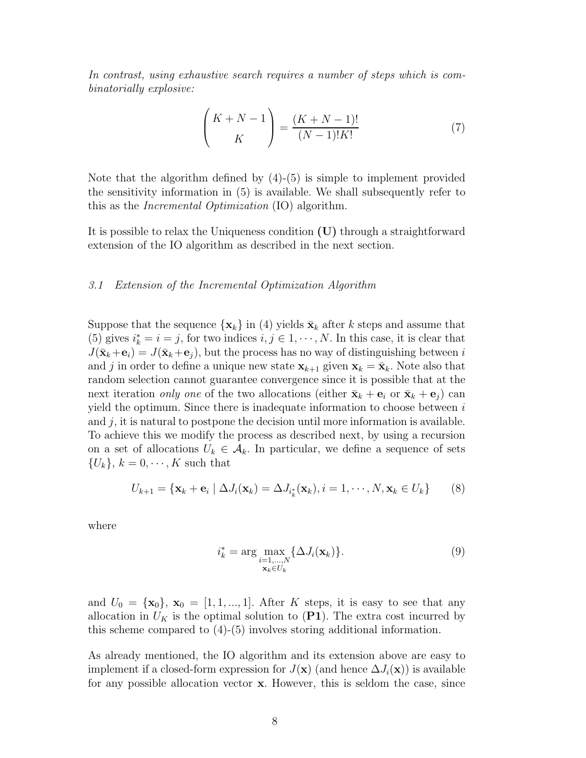In contrast, using exhaustive search requires a number of steps which is combinatorially explosive:

$$
\binom{K+N-1}{K} = \frac{(K+N-1)!}{(N-1)!K!}
$$
 (7)

Note that the algorithm defined by  $(4)-(5)$  is simple to implement provided the sensitivity information in (5) is available. We shall subsequently refer to this as the Incremental Optimization (IO) algorithm.

It is possible to relax the Uniqueness condition **(U)** through a straightforward extension of the IO algorithm as described in the next section.

### 3.1 Extension of the Incremental Optimization Algorithm

Suppose that the sequence  $\{x_k\}$  in (4) yields  $\bar{x}_k$  after k steps and assume that (5) gives  $i_k^* = i = j$ , for two indices  $i, j \in 1, \dots, N$ . In this case, it is clear that  $I(\bar{\mathbf{x}}, \pm \mathbf{e}) = I(\bar{\mathbf{x}}, \pm \mathbf{e})$  but the process has no way of distinguishing between i  $J(\bar{\mathbf{x}}_k+\mathbf{e}_i) = J(\bar{\mathbf{x}}_k+\mathbf{e}_j)$ , but the process has no way of distinguishing between i and j in order to define a unique new state  $\mathbf{x}_{k+1}$  given  $\mathbf{x}_k = \bar{\mathbf{x}}_k$ . Note also that random selection cannot guarantee convergence since it is possible that at the next iteration only one of the two allocations (either  $\bar{\mathbf{x}}_k + \mathbf{e}_i$  or  $\bar{\mathbf{x}}_k + \mathbf{e}_j$ ) can yield the optimum. Since there is inadequate information to choose between  $i$ and  $j$ , it is natural to postpone the decision until more information is available. To achieve this we modify the process as described next,by using a recursion on a set of allocations  $U_k \in \mathcal{A}_k$ . In particular, we define a sequence of sets  $\{U_k\}, k = 0, \cdots, K$  such that

$$
U_{k+1} = {\mathbf{x}_k + \mathbf{e}_i \mid \Delta J_i(\mathbf{x}_k) = \Delta J_{i_k^*}(\mathbf{x}_k), i = 1, \cdots, N, \mathbf{x}_k \in U_k}
$$
 (8)

where

$$
i_k^* = \underset{\mathbf{x}_k \in U_k}{\arg \max} \{ \Delta J_i(\mathbf{x}_k) \}.
$$
\n(9)

and  $U_0 = {\mathbf{x}_0}$ ,  $\mathbf{x}_0 = [1, 1, ..., 1]$ . After K steps, it is easy to see that any allocation in  $U_K$  is the optimal solution to  $(\mathbf{P1})$ . The extra cost incurred by this scheme compared to (4)-(5) involves storing additional information.

As already mentioned, the IO algorithm and its extension above are easy to implement if a closed-form expression for  $J(\mathbf{x})$  (and hence  $\Delta J_i(\mathbf{x})$ ) is available for any possible allocation vector **x**. However, this is seldom the case, since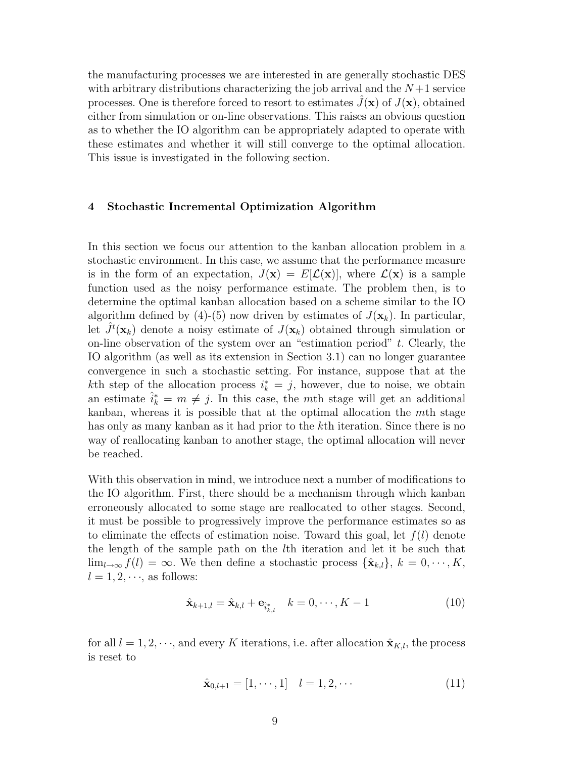the manufacturing processes we are interested in are generally stochastic DES with arbitrary distributions characterizing the job arrival and the  $N+1$  service processes. One is therefore forced to resort to estimates  $J(\mathbf{x})$  of  $J(\mathbf{x})$ , obtained either from simulation or on-line observations. This raises an obvious question as to whether the IO algorithm can be appropriately adapted to operate with these estimates and whether it will still converge to the optimal allocation. This issue is investigated in the following section.

# **4 Stochastic Incremental Optimization Algorithm**

In this section we focus our attention to the kanban allocation problem in a stochastic environment. In this case, we assume that the performance measure is in the form of an expectation,  $J(\mathbf{x}) = E[\mathcal{L}(\mathbf{x})]$ , where  $\mathcal{L}(\mathbf{x})$  is a sample function used as the noisy performance estimate. The problem then, is to determine the optimal kanban allocation based on a scheme similar to the IO algorithm defined by (4)-(5) now driven by estimates of  $J(\mathbf{x}_k)$ . In particular, let  $\hat{J}^t(\mathbf{x}_k)$  denote a noisy estimate of  $J(\mathbf{x}_k)$  obtained through simulation or<br>on-line observation of the system over an "estimation period" t. Clearly, the on-line observation of the system over an "estimation period"  $t$ . Clearly, the IO algorithm (as well as its extension in Section 3.1) can no longer guarantee convergence in such a stochastic setting. For instance, suppose that at the kth step of the allocation process  $i_k^* = j$ , however, due to noise, we obtain<br>an estimate  $\hat{i}^* = m \neq i$ . In this case, the *m*th stage will get an additional an estimate  $\hat{i}_k^* = m \neq j$ . In this case, the *mth* stage will get an additional<br>kappen, whereas it is possible that at the optimal allocation the *mth* stage kanban, whereas it is possible that at the optimal allocation the  $m$ th stage has only as many kanban as it had prior to the k<sup>th</sup> iteration. Since there is no way of reallocating kanban to another stage, the optimal allocation will never be reached.

With this observation in mind, we introduce next a number of modifications to the IO algorithm. First, there should be a mechanism through which kanban erroneously allocated to some stage are reallocated to other stages. Second, it must be possible to progressively improve the performance estimates so as to eliminate the effects of estimation noise. Toward this goal, let  $f(l)$  denote the length of the sample path on the lth iteration and let it be such that  $\lim_{l\to\infty} f(l) = \infty$ . We then define a stochastic process  $\{\hat{\mathbf{x}}_{k,l}\}, k = 0, \dots, K$ ,  $l = 1, 2, \dots$ , as follows:

$$
\hat{\mathbf{x}}_{k+1,l} = \hat{\mathbf{x}}_{k,l} + \mathbf{e}_{\hat{i}_{k,l}^*} \quad k = 0, \cdots, K-1
$$
 (10)

for all  $l = 1, 2, \dots$ , and every K iterations, i.e. after allocation  $\hat{\mathbf{x}}_{K,l}$ , the process is reset to

$$
\hat{\mathbf{x}}_{0,l+1} = [1, \cdots, 1] \quad l = 1, 2, \cdots \tag{11}
$$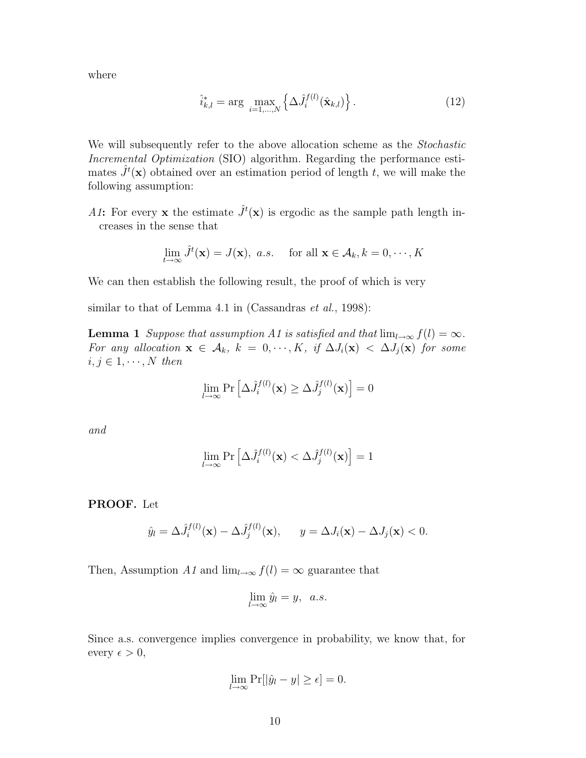where

$$
\hat{i}_{k,l}^* = \arg \max_{i=1,\dots,N} \left\{ \Delta \hat{J}_i^{f(l)}(\hat{\mathbf{x}}_{k,l}) \right\}.
$$
 (12)

We will subsequently refer to the above allocation scheme as the *Stochastic* Incremental Optimization (SIO) algorithm. Regarding the performance estimates  $\hat{J}^t(\mathbf{x})$  obtained over an estimation period of length t, we will make the following assumption: following assumption:

A1: For every **x** the estimate  $\hat{J}^t(\mathbf{x})$  is ergodic as the sample path length increases in the sense that

$$
\lim_{t \to \infty} \hat{J}^t(\mathbf{x}) = J(\mathbf{x}), \ a.s. \quad \text{for all } \mathbf{x} \in \mathcal{A}_k, k = 0, \cdots, K
$$

We can then establish the following result, the proof of which is very

similar to that of Lemma 4.1 in (Cassandras *et al.*, 1998):

**Lemma 1** Suppose that assumption A1 is satisfied and that  $\lim_{l\to\infty} f(l) = \infty$ . For any allocation  $\mathbf{x} \in A_k$ ,  $k = 0, \dots, K$ , if  $\Delta J_i(\mathbf{x}) < \Delta J_j(\mathbf{x})$  for some  $i, j \in 1, \cdots, N$  then

$$
\lim_{l \to \infty} \Pr\left[\Delta \hat{J}_i^{f(l)}(\mathbf{x}) \ge \Delta \hat{J}_j^{f(l)}(\mathbf{x})\right] = 0
$$

and

$$
\lim_{l \to \infty} \Pr\left[\Delta \hat{J}_i^{f(l)}(\mathbf{x}) < \Delta \hat{J}_j^{f(l)}(\mathbf{x})\right] = 1
$$

**PROOF.** Let

$$
\hat{y}_l = \Delta \hat{J}_i^{f(l)}(\mathbf{x}) - \Delta \hat{J}_j^{f(l)}(\mathbf{x}), \qquad y = \Delta J_i(\mathbf{x}) - \Delta J_j(\mathbf{x}) < 0.
$$

Then, Assumption A1 and  $\lim_{l\to\infty} f(l) = \infty$  guarantee that

$$
\lim_{l \to \infty} \hat{y}_l = y, \ \ a.s.
$$

Since a.s. convergence implies convergence in probability, we know that, for every  $\epsilon > 0$ ,

$$
\lim_{l \to \infty} \Pr[|\hat{y}_l - y| \ge \epsilon] = 0.
$$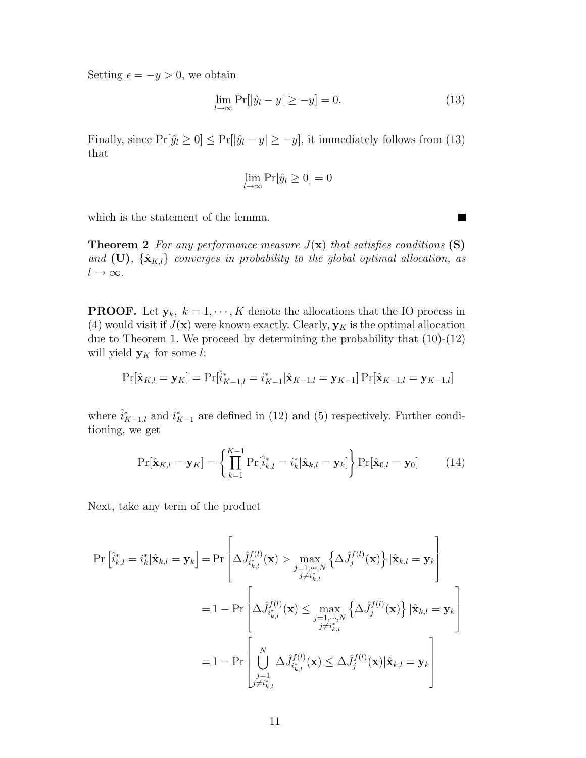Setting  $\epsilon = -y > 0$ , we obtain

$$
\lim_{l \to \infty} \Pr[|\hat{y}_l - y| \ge -y] = 0. \tag{13}
$$

Finally, since  $Pr[\hat{y}_l \ge 0] \le Pr[|\hat{y}_l - y| \ge -y]$ , it immediately follows from (13) that

$$
\lim_{l \to \infty} \Pr[\hat{y}_l \ge 0] = 0
$$

which is the statement of the lemma.

**Theorem 2** For any performance measure  $J(\mathbf{x})$  that satisfies conditions **(S)** and  $(\mathbf{U})$ ,  $\{\hat{\mathbf{x}}_{K,l}\}$  converges in probability to the global optimal allocation, as  $l \to \infty$ .

**PROOF.** Let  $y_k$ ,  $k = 1, \dots, K$  denote the allocations that the IO process in (4) would visit if  $J(\mathbf{x})$  were known exactly. Clearly,  $\mathbf{y}_K$  is the optimal allocation due to Theorem 1. We proceed by determining the probability that (10)-(12) will yield  $y_K$  for some l:

$$
\Pr[\hat{\mathbf{x}}_{K,l} = \mathbf{y}_K] = \Pr[\hat{i}_{K-1,l}^* = i_{K-1}^* | \hat{\mathbf{x}}_{K-1,l} = \mathbf{y}_{K-1}] \Pr[\hat{\mathbf{x}}_{K-1,l} = \mathbf{y}_{K-1,l}]
$$

where  $\hat{i}_{K-1,l}^*$  and  $i_{K-1}^*$  are defined in (12) and (5) respectively. Further conditioning we get tioning, we get

$$
\Pr[\hat{\mathbf{x}}_{K,l} = \mathbf{y}_K] = \left\{ \prod_{k=1}^{K-1} \Pr[\hat{i}_{k,l}^* = i_k^* | \hat{\mathbf{x}}_{k,l} = \mathbf{y}_k] \right\} \Pr[\hat{\mathbf{x}}_{0,l} = \mathbf{y}_0]
$$
(14)

Next, take any term of the product

$$
\Pr\left[\hat{i}_{k,l}^{*} = i_{k}^{*} | \hat{\mathbf{x}}_{k,l} = \mathbf{y}_{k}\right] = \Pr\left[\Delta \hat{J}_{i_{k,l}^{*}}^{f(l)}(\mathbf{x}) > \max_{j=1,\dots,N} \left\{\Delta \hat{J}_{j}^{f(l)}(\mathbf{x})\right\} | \hat{\mathbf{x}}_{k,l} = \mathbf{y}_{k}\right]
$$
\n
$$
= 1 - \Pr\left[\Delta \hat{J}_{i_{k,l}^{*}}^{f(l)}(\mathbf{x}) \le \max_{j=1,\dots,N} \left\{\Delta \hat{J}_{j}^{f(l)}(\mathbf{x})\right\} | \hat{\mathbf{x}}_{k,l} = \mathbf{y}_{k}\right]
$$
\n
$$
= 1 - \Pr\left[\bigcup_{\substack{j=1,\dots,N\\j \neq i_{k,l}^{*}}} \Delta \hat{J}_{i_{k,l}^{*}}^{f(l)}(\mathbf{x}) \le \Delta \hat{J}_{j}^{f(l)}(\mathbf{x}) | \hat{\mathbf{x}}_{k,l} = \mathbf{y}_{k}\right]
$$

П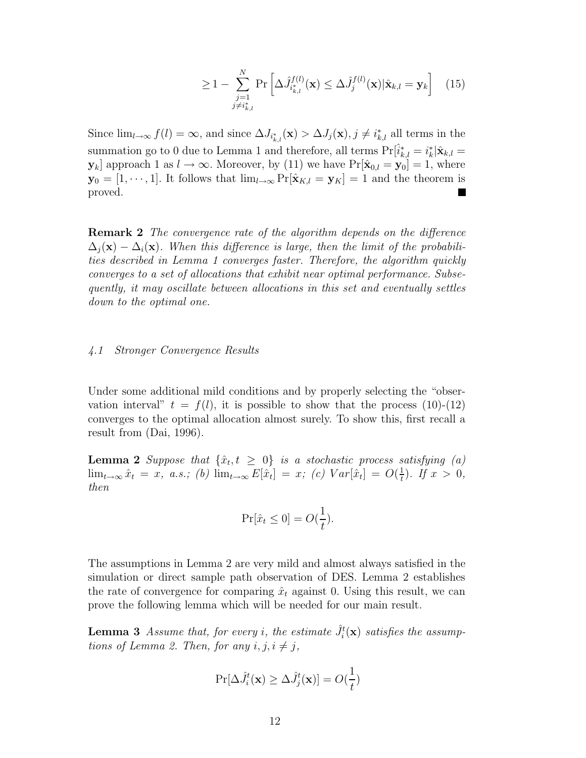$$
\geq 1 - \sum_{\substack{j=1 \ j \neq i_{k,l}^*}}^N \Pr\left[\Delta \hat{J}_{i_{k,l}^*}^{f(l)}(\mathbf{x}) \leq \Delta \hat{J}_j^{f(l)}(\mathbf{x}) | \hat{\mathbf{x}}_{k,l} = \mathbf{y}_k\right] \quad (15)
$$

Since  $\lim_{l\to\infty} f(l) = \infty$ , and since  $\Delta J_{i^*_{k,l}}(\mathbf{x}) > \Delta J_j(\mathbf{x}), j \neq i^*_{k,l}$  all terms in the summation go to 0 due to Lemma 1 and therefore, all terms  $Pr[\hat{i}_{k,l}^* = i_k^* | \hat{\mathbf{x}}_{k,l} = \mathbf{y}_l]$  approach 1 as  $l \to \infty$ . Moreover, by (11) we have  $Pr[\hat{\mathbf{x}}_{k,l} = \mathbf{y}_l] = 1$ , where **y**<sub>*k*</sub>] approach 1 as *l* → ∞. Moreover, by (11) we have  $Pr[\hat{\mathbf{x}}_{0,l} = \mathbf{y}_0] = 1$ , where **y**<sub>0</sub> = [1, ⋅ ⋅ ⋅ , 1]. It follows that  $\lim_{l\to\infty} \Pr[\hat{\mathbf{x}}_{K,l} = \mathbf{y}_K] = 1$  and the theorem is proved.

**Remark 2** The convergence rate of the algorithm depends on the difference  $\Delta_i(\mathbf{x}) - \Delta_i(\mathbf{x})$ . When this difference is large, then the limit of the probabilities described in Lemma 1 converges faster. Therefore, the algorithm quickly converges to a set of allocations that exhibit near optimal performance. Subsequently, it may oscillate between allocations in this set and eventually settles down to the optimal one.

#### 4.1 Stronger Convergence Results

Under some additional mild conditions and by properly selecting the "observation interval"  $t = f(l)$ , it is possible to show that the process (10)-(12) converges to the optimal allocation almost surely. To show this, first recall a result from (Dai, 1996).

**Lemma 2** Suppose that  $\{\hat{x}_t, t \geq 0\}$  is a stochastic process satisfying (a)  $\lim_{t \to \infty} \hat{x}_t = x$ , *a.s.*; (b)  $\lim_{t \to \infty} E[\hat{x}_t] = x$ ; (c)  $Var[\hat{x}_t] = O(\frac{1}{t})$ . If  $x > 0$ , then then

$$
\Pr[\hat{x}_t \le 0] = O(\frac{1}{t}).
$$

The assumptions in Lemma 2 are very mild and almost always satisfied in the simulation or direct sample path observation of DES. Lemma 2 establishes the rate of convergence for comparing  $\hat{x}_t$  against 0. Using this result, we can prove the following lemma which will be needed for our main result.

**Lemma 3** Assume that, for every *i*, the estimate  $\hat{J}_i^t(\mathbf{x})$  satisfies the assumptions of Lemma 2. Then, for any *i*, *i*, *i*, *i*, *i* tions of Lemma 2. Then, for any  $i, j, i \neq j$ ,

$$
\Pr[\Delta \hat{J}_i^t(\mathbf{x}) \ge \Delta \hat{J}_j^t(\mathbf{x})] = O(\frac{1}{t})
$$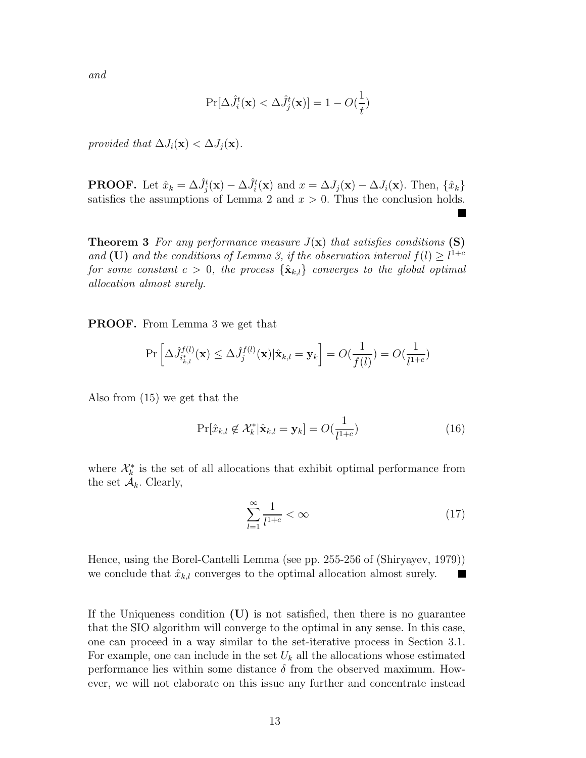and

$$
\Pr[\Delta \hat{J}_i^t(\mathbf{x}) < \Delta \hat{J}_j^t(\mathbf{x})] = 1 - O(\frac{1}{t})
$$

provided that  $\Delta J_i(\mathbf{x}) < \Delta J_j(\mathbf{x})$ .

**PROOF.** Let  $\hat{x}_k = \Delta \hat{J}_j^t(\mathbf{x}) - \Delta \hat{J}_i^t(\mathbf{x})$  and  $x = \Delta J_j(\mathbf{x}) - \Delta J_i(\mathbf{x})$ . Then,  $\{\hat{x}_k\}$ satisfies the assumptions of Lemma 2 and  $x > 0$ . Thus the conclusion holds.

**Theorem 3** For any performance measure  $J(\mathbf{x})$  that satisfies conditions **(S)** and **(U)** and the conditions of Lemma 3, if the observation interval  $f(l) \geq l^{1+c}$ <br>for some constant  $c > 0$ , the process  $\{ \hat{\mathbf{x}}_l, l \}$  converges to the alobal ortimal for some constant  $c > 0$ , the process  $\{\hat{\mathbf{x}}_{k,l}\}$  converges to the global optimal allocation almost surely.

**PROOF.** From Lemma 3 we get that

$$
\Pr\left[\Delta \hat{J}_{i_{k,l}^*}^{f(l)}(\mathbf{x}) \le \Delta \hat{J}_j^{f(l)}(\mathbf{x})|\hat{\mathbf{x}}_{k,l} = \mathbf{y}_k\right] = O(\frac{1}{f(l)}) = O(\frac{1}{l^{1+c}})
$$

Also from (15) we get that the

$$
\Pr[\hat{x}_{k,l} \notin \mathcal{X}_k^* | \hat{\mathbf{x}}_{k,l} = \mathbf{y}_k] = O(\frac{1}{l^{1+c}})
$$
\n(16)

where  $\mathcal{X}_{k}^{*}$  is the set of all allocations that exhibit optimal performance from the set  $\mathcal{A}_k$ . Clearly,

$$
\sum_{l=1}^{\infty} \frac{1}{l^{1+c}} < \infty \tag{17}
$$

Hence,using the Borel-Cantelli Lemma (see pp. 255-256 of (Shiryayev,1979)) we conclude that  $\hat{x}_{k,l}$  converges to the optimal allocation almost surely. Ш

If the Uniqueness condition  $(U)$  is not satisfied, then there is no guarantee that the SIO algorithm will converge to the optimal in any sense. In this case, one can proceed in a way similar to the set-iterative process in Section 3.1. For example, one can include in the set  $U_k$  all the allocations whose estimated performance lies within some distance  $\delta$  from the observed maximum. However, we will not elaborate on this issue any further and concentrate instead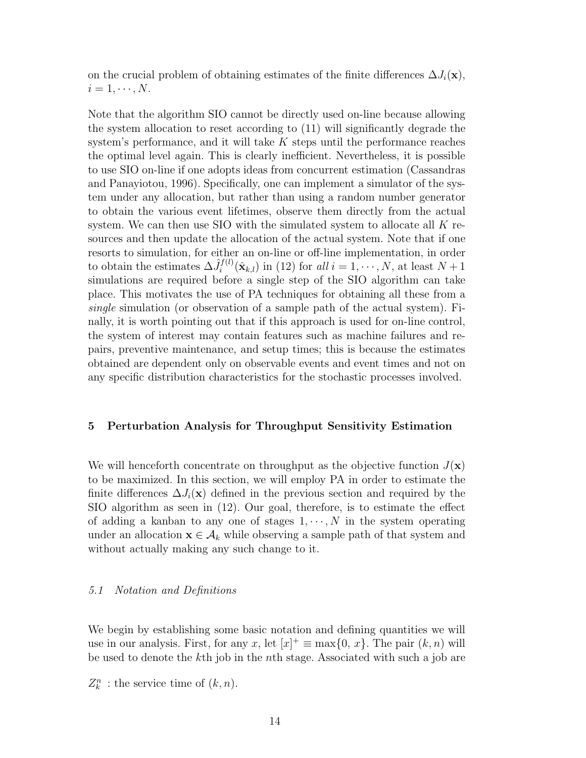on the crucial problem of obtaining estimates of the finite differences  $\Delta J_i(\mathbf{x})$ ,  $i=1,\cdots,N.$ 

Note that the algorithm SIO cannot be directly used on-line because allowing the system allocation to reset according to (11) will significantly degrade the system's performance, and it will take  $K$  steps until the performance reaches the optimal level again. This is clearly inefficient. Nevertheless, it is possible to use SIO on-line if one adopts ideas from concurrent estimation (Cassandras and Panayiotou, 1996). Specifically, one can implement a simulator of the system under any allocation, but rather than using a random number generator to obtain the various event lifetimes, observe them directly from the actual system. We can then use SIO with the simulated system to allocate all  $K$  resources and then update the allocation of the actual system. Note that if one resorts to simulation, for either an on-line or off-line implementation, in order to obtain the estimates  $\Delta \hat{J}_i^{f(l)}(\hat{\mathbf{x}}_{k,l})$  in (12) for all  $i = 1, \dots, N$ , at least  $N+1$ <br>simulations are required before a single step of the SIO algorithm can take simulations are required before a single step of the SIO algorithm can take place. This motivates the use of PA techniques for obtaining all these from a single simulation (or observation of a sample path of the actual system). Finally, it is worth pointing out that if this approach is used for on-line control, the system of interest may contain features such as machine failures and repairs, preventive maintenance, and setup times; this is because the estimates obtained are dependent only on observable events and event times and not on any specific distribution characteristics for the stochastic processes involved.

# **5 Perturbation Analysis for Throughput Sensitivity Estimation**

We will henceforth concentrate on throughput as the objective function  $J(\mathbf{x})$ to be maximized. In this section,we will employ PA in order to estimate the finite differences  $\Delta J_i(\mathbf{x})$  defined in the previous section and required by the  $SIO$  algorithm as seen in  $(12)$ . Our goal, therefore, is to estimate the effect of adding a kanban to any one of stages  $1, \dots, N$  in the system operating under an allocation  $\mathbf{x} \in \mathcal{A}_k$  while observing a sample path of that system and without actually making any such change to it.

## 5.1 Notation and Definitions

We begin by establishing some basic notation and defining quantities we will use in our analysis. First, for any x, let  $[x]^+ \equiv \max\{0, x\}$ . The pair  $(k, n)$  will<br>be used to denote the kth job in the nth stage. Associated with such a job are be used to denote the kth job in the nth stage. Associated with such a job are

 $Z_k^n$  : the service time of  $(k, n)$ .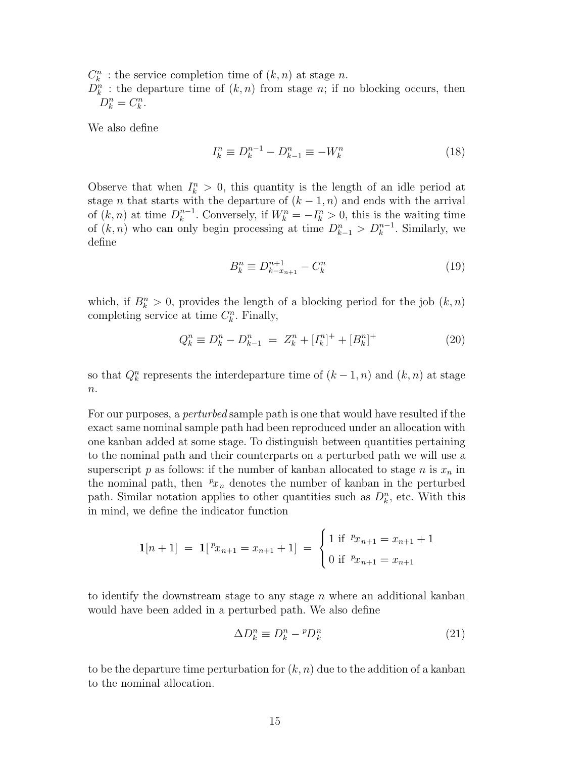$C_k^n$  : the service completion time of  $(k, n)$  at stage *n*.<br> $D^n$  : the departure time of  $(k, n)$  from stage *n*; if n

 $D_k^n$ : the departure time of  $(k, n)$  from stage *n*; if no blocking occurs, then  $D^n - C^n$  $D_k^n = C_k^n$ .

We also define

$$
I_k^n \equiv D_k^{n-1} - D_{k-1}^n \equiv -W_k^n \tag{18}
$$

Observe that when  $I_k^n > 0$ , this quantity is the length of an idle period at stage *n* that starts with the departure of  $(k-1, n)$  and ends with the arrival stage *n* that starts with the departure of  $(k-1, n)$  and ends with the arrival of  $(k, n)$  at time  $D_k^{n-1}$ . Conversely, if  $W_k^n = -I_k^n > 0$ , this is the waiting time<br>of  $(k, n)$  who can only begin processing at time  $D^n \leq D^{n-1}$ . Similarly we of  $(k, n)$  who can only begin processing at time  $D_{k-1}^n > D_k^{n-1}$ . Similarly, we define define

$$
B_k^n \equiv D_{k-x_{n+1}}^{n+1} - C_k^n \tag{19}
$$

which, if  $B_k^n > 0$ , provides the length of a blocking period for the job  $(k, n)$ <br>completing service at time  $C^n$  Finally completing service at time  $C_k^n$ . Finally,

$$
Q_k^n \equiv D_k^n - D_{k-1}^n = Z_k^n + [I_k^n]^{+} + [B_k^n]^{+}
$$
\n(20)

so that  $Q_k^n$  represents the interdeparture time of  $(k-1, n)$  and  $(k, n)$  at stage  $\it n.$ 

For our purposes, a *perturbed* sample path is one that would have resulted if the exact same nominal sample path had been reproduced under an allocation with one kanban added at some stage. To distinguish between quantities pertaining to the nominal path and their counterparts on a perturbed path we will use a superscript p as follows: if the number of kanban allocated to stage  $n$  is  $x_n$  in the nominal path, then  $^p x_n$  denotes the number of kanban in the perturbed<br>path. Similar notation applies to other quantities such as  $D^n$  etc. With this path. Similar notation applies to other quantities such as  $D_k^n$ , etc. With this in mind, we define the indicator function

$$
\mathbf{1}[n+1] = \mathbf{1}[{}^{p}x_{n+1} = x_{n+1} + 1] = \begin{cases} 1 \text{ if } {}^{p}x_{n+1} = x_{n+1} + 1 \\ 0 \text{ if } {}^{p}x_{n+1} = x_{n+1} \end{cases}
$$

to identify the downstream stage to any stage  $n$  where an additional kanban would have been added in a perturbed path. We also define

$$
\Delta D_k^n \equiv D_k^n - {}^p D_k^n \tag{21}
$$

to be the departure time perturbation for  $(k, n)$  due to the addition of a kanban to the nominal allocation.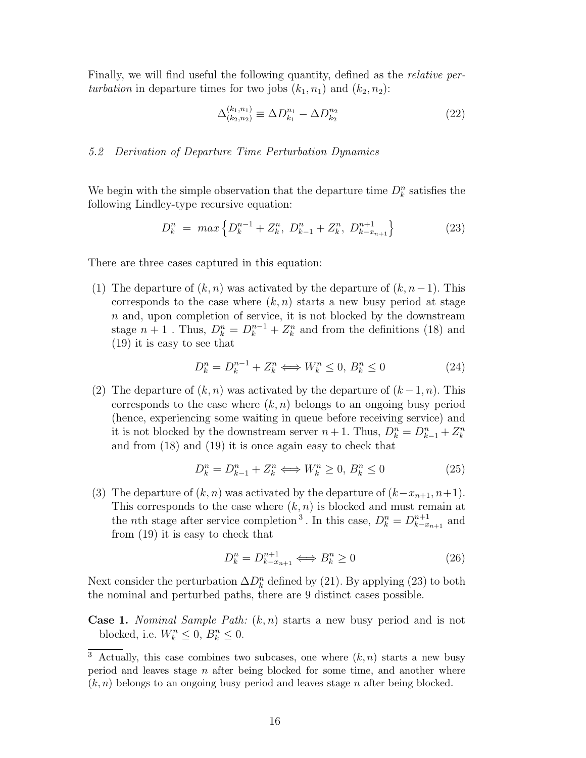Finally, we will find useful the following quantity, defined as the *relative per*turbation in departure times for two jobs  $(k_1, n_1)$  and  $(k_2, n_2)$ :

$$
\Delta_{(k_2, n_2)}^{(k_1, n_1)} \equiv \Delta D_{k_1}^{n_1} - \Delta D_{k_2}^{n_2} \tag{22}
$$

#### 5.2 Derivation of Departure Time Perturbation Dynamics

We begin with the simple observation that the departure time  $D_k^n$  satisfies the following Lindley-type requisive equation: following Lindley-type recursive equation:

$$
D_k^n = \max \left\{ D_k^{n-1} + Z_k^n, \ D_{k-1}^n + Z_k^n, \ D_{k-x_{n+1}}^{n+1} \right\} \tag{23}
$$

There are three cases captured in this equation:

(1) The departure of  $(k, n)$  was activated by the departure of  $(k, n-1)$ . This corresponds to the case where  $(k, n)$  starts a new busy period at stage  $n$  and, upon completion of service, it is not blocked by the downstream stage  $n + 1$ . Thus,  $D_k^n = D_k^{n-1} + Z_k^n$  and from the definitions (18) and (19) it is easy to see that (19) it is easy to see that

$$
D_k^n = D_k^{n-1} + Z_k^n \Longleftrightarrow W_k^n \le 0, B_k^n \le 0 \tag{24}
$$

(2) The departure of  $(k, n)$  was activated by the departure of  $(k-1, n)$ . This corresponds to the case where  $(k, n)$  belongs to an ongoing busy period (hence, experiencing some waiting in queue before receiving service) and it is not blocked by the downstream server  $n + 1$ . Thus,  $D_k^n = D_{k-1}^n + Z_k^n$ <br>and from (18) and (10) it is once again easy to check that and from (18) and (19) it is once again easy to check that

$$
D_k^n = D_{k-1}^n + Z_k^n \Longleftrightarrow W_k^n \ge 0, B_k^n \le 0 \tag{25}
$$

(3) The departure of  $(k, n)$  was activated by the departure of  $(k-x_{n+1}, n+1)$ . This corresponds to the case where  $(k, n)$  is blocked and must remain at the *n*th stage after service completion<sup>3</sup>. In this case,  $D_k^n = D_{k-x_{n+1}}^{n+1}$  and from (10) it is easy to check that from (19) it is easy to check that

$$
D_k^n = D_{k-x_{n+1}}^{n+1} \Longleftrightarrow B_k^n \ge 0 \tag{26}
$$

Next consider the perturbation  $\Delta D_k^n$  defined by (21). By applying (23) to both the nominal and perturbed paths, there are 9 distinct cases possible the nominal and perturbed paths, there are 9 distinct cases possible.

**Case 1.** Nominal Sample Path:  $(k, n)$  starts a new busy period and is not blocked, i.e.  $W_k^n \leq 0$ ,  $B_k^n \leq 0$ .

<sup>&</sup>lt;sup>3</sup> Actually, this case combines two subcases, one where  $(k, n)$  starts a new busy period and leaves stage  $n$  after being blocked for some time, and another where  $(k, n)$  belongs to an ongoing busy period and leaves stage n after being blocked.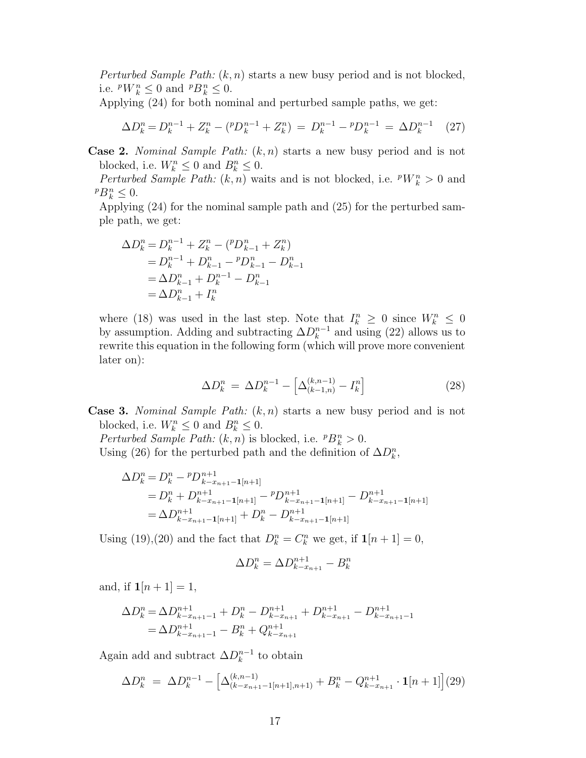Perturbed Sample Path:  $(k, n)$  starts a new busy period and is not blocked, i.e.  $^pW_k^n \leq 0$  and  $^pB_k^n \leq 0$ .

Applying  $(24)$  for both nominal and perturbed sample paths, we get:

$$
\Delta D_k^n = D_k^{n-1} + Z_k^n - \left( {}^p D_k^{n-1} + Z_k^n \right) = D_k^{n-1} - {}^p D_k^{n-1} = \Delta D_k^{n-1} \tag{27}
$$

**Case 2.** Nominal Sample Path:  $(k, n)$  starts a new busy period and is not blocked, i.e.  $W_k^n \leq 0$  and  $B_k^n \leq 0$ .<br>*Perturbed Sample Path:*  $(k, n)$  was

*Perturbed Sample Path:*  $(k, n)$  waits and is not blocked, i.e.  $^pW_k^n > 0$  and  $P B_k^n \leq 0.$ <br>Applyin

Applying (24) for the nominal sample path and (25) for the perturbed sample path,we get:

$$
\Delta D_k^n = D_k^{n-1} + Z_k^n - {p D_{k-1}^n + Z_k^n \choose p} \n= D_k^{n-1} + D_{k-1}^n - {p D_{k-1}^n - D_{k-1}^n \choose p} \n= \Delta D_{k-1}^n + D_k^{n-1} - D_{k-1}^n \n= \Delta D_{k-1}^n + I_k^n
$$

where (18) was used in the last step. Note that  $I_k^n \geq 0$  since  $W_k^n \leq 0$ <br>by assumption Adding and subtracting  $\Delta D^{n-1}$  and using (22) allows us to by assumption. Adding and subtracting  $\Delta D_k^{n-1}$  and using (22) allows us to rewrite this equation in the following form (which will prove more convenient rewrite this equation in the following form (which will prove more convenient later on):

$$
\Delta D_k^n = \Delta D_k^{n-1} - \left[\Delta_{(k-1,n)}^{(k,n-1)} - I_k^n\right]
$$
\n(28)

**Case 3.** Nominal Sample Path:  $(k, n)$  starts a new busy period and is not blocked, i.e.  $W_k^n \leq 0$  and  $B_k^n \leq 0$ .<br>*Perturbed Sample Path:*  $(k, n)$  is b

*Perturbed Sample Path:*  $(k, n)$  is blocked, i.e.  ${}^pB_k^n > 0$ . Using (26) for the perturbed path and the definition of  $\Delta D_k^n$ ,

$$
\Delta D_k^n = D_k^n - {}^p D_{k-x_{n+1}-1[n+1]}^{n+1}
$$
  
=  $D_k^n + D_{k-x_{n+1}-1[n+1]}^{n+1} - {}^p D_{k-x_{n+1}-1[n+1]}^{n+1} - D_{k-x_{n+1}-1[n+1]}^{n+1}$   
=  $\Delta D_{k-x_{n+1}-1[n+1]}^{n+1} + D_k^n - D_{k-x_{n+1}-1[n+1]}^{n+1}$ 

Using (19),(20) and the fact that  $D_k^n = C_k^n$  we get, if  $\mathbf{1}[n+1] = 0$ ,

$$
\Delta D_k^n = \Delta D_{k-x_{n+1}}^{n+1} - B_k^n
$$

and, if  $1[n+1] = 1$ ,

$$
\Delta D_k^n = \Delta D_{k-x_{n+1}-1}^{n+1} + D_k^n - D_{k-x_{n+1}}^{n+1} + D_{k-x_{n+1}}^{n+1} - D_{k-x_{n+1}-1}^{n+1}
$$
  
=  $\Delta D_{k-x_{n+1}-1}^{n+1} - B_k^n + Q_{k-x_{n+1}}^{n+1}$ 

Again add and subtract  $\Delta D_k^{n-1}$  to obtain

$$
\Delta D_k^n = \Delta D_k^{n-1} - \left[ \Delta_{(k-x_{n+1}-1[n+1],n+1)}^{(k,n-1)} + B_k^n - Q_{k-x_{n+1}}^{n+1} \cdot \mathbf{1}[n+1] \right] (29)
$$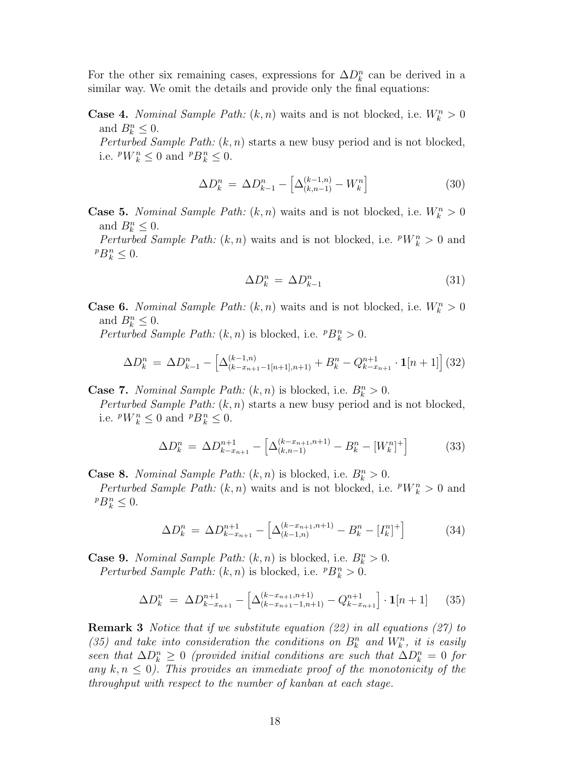For the other six remaining cases, expressions for  $\Delta D_k^n$  can be derived in a similar way. We omit the details and provide only the final equations: similar way. We omit the details and provide only the final equations:

**Case 4.** *Nominal Sample Path:*  $(k, n)$  waits and is not blocked, i.e.  $W_k^n > 0$ and  $B_k^n \leq 0$ .<br>*Perturbed* Se

Perturbed Sample Path:  $(k, n)$  starts a new busy period and is not blocked, i.e.  $^{p}W_{k}^{n} \leq 0$  and  $^{p}B_{k}^{n} \leq 0$ .

$$
\Delta D_k^n = \Delta D_{k-1}^n - \left[ \Delta_{(k,n-1)}^{(k-1,n)} - W_k^n \right] \tag{30}
$$

**Case 5.** *Nominal Sample Path:*  $(k, n)$  waits and is not blocked, i.e.  $W_k^n > 0$ and  $B_k^n \leq 0$ .<br>*Perturbed Se* 

*Perturbed Sample Path:*  $(k, n)$  waits and is not blocked, i.e.  $^pW_k^n > 0$  and  $P B_k^n \leq 0.$ 

$$
\Delta D_k^n = \Delta D_{k-1}^n \tag{31}
$$

**Case 6.** *Nominal Sample Path:*  $(k, n)$  waits and is not blocked, i.e.  $W_k^n > 0$ and  $B_k^n \leq 0$ .<br>*Perturbed* Se

*Perturbed Sample Path:*  $(k, n)$  is blocked, i.e.  ${}^pB_k^n > 0$ .

$$
\Delta D_k^n = \Delta D_{k-1}^n - \left[ \Delta_{(k-x_{n+1}-1[n+1],n+1)}^{(k-1,n)} + B_k^n - Q_{k-x_{n+1}}^{n+1} \cdot \mathbf{1}[n+1] \right] (32)
$$

**Case 7.** Nominal Sample Path:  $(k, n)$  is blocked, i.e.  $B_k^n > 0$ .<br>*Perturbed Sample Path:*  $(k, n)$  starts a new busy period and

Perturbed Sample Path:  $(k, n)$  starts a new busy period and is not blocked, i.e.  $^pW_k^n \leq 0$  and  $^pB_k^n \leq 0$ .

$$
\Delta D_k^n = \Delta D_{k-x_{n+1}}^{n+1} - \left[ \Delta_{(k,n-1)}^{(k-x_{n+1},n+1)} - B_k^n - [W_k^n]^+ \right] \tag{33}
$$

**Case 8.** Nominal Sample Path:  $(k, n)$  is blocked, i.e.  $B_k^n > 0$ .<br>*Perturbed Sample Path:*  $(k, n)$  waits and is not blocked i.e. *Perturbed Sample Path:*  $(k, n)$  waits and is not blocked, i.e.  $^pW_k^n > 0$  and  $P B_k^n \leq 0.$ 

$$
\Delta D_k^n = \Delta D_{k-x_{n+1}}^{n+1} - \left[ \Delta_{(k-1,n)}^{(k-x_{n+1},n+1)} - B_k^n - [I_k^n]^+ \right] \tag{34}
$$

**Case 9.** Nominal Sample Path:  $(k, n)$  is blocked, i.e.  $B_k^n > 0$ .<br>*Perturbed Sample Path:*  $(k, n)$  is blocked i.e.  $pR^n > 0$ . *Perturbed Sample Path:*  $(k, n)$  is blocked, i.e.  ${}^pB_k^n > 0$ .

$$
\Delta D_k^n = \Delta D_{k-x_{n+1}}^{n+1} - \left[ \Delta_{(k-x_{n+1}-1,n+1)}^{(k-x_{n+1},n+1)} - Q_{k-x_{n+1}}^{n+1} \right] \cdot \mathbf{1}[n+1] \tag{35}
$$

**Remark 3** Notice that if we substitute equation (22) in all equations (27) to (35) and take into consideration the conditions on  $B_k^n$  and  $W_k^n$ , it is easily<br>seen that  $\Delta D^n \geq 0$  (provided initial conditions are such that  $\Delta D^n = 0$  for seen that  $\Delta D_k^n \geq 0$  (provided initial conditions are such that  $\Delta D_k^n = 0$  for any  $k, n \leq 0$ ). This provides an immediate proof of the monotonicity of the throughput with respect to the number of kanban at each stage.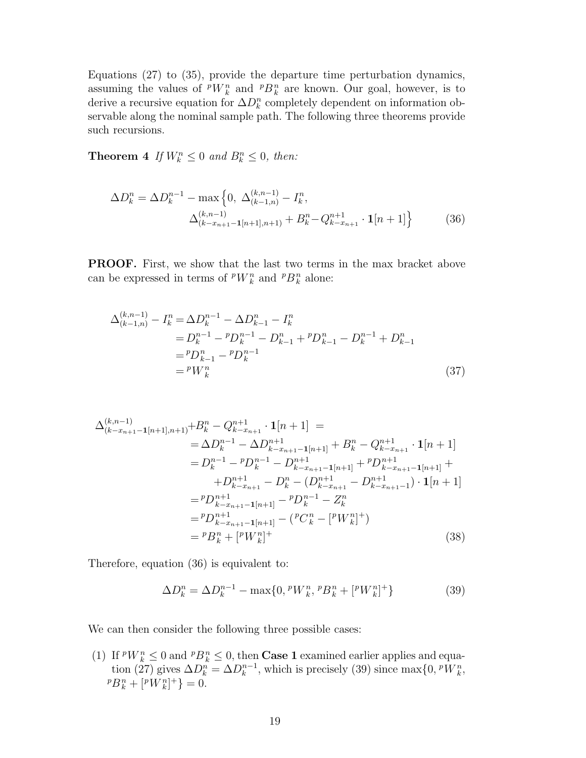Equations  $(27)$  to  $(35)$ , provide the departure time perturbation dynamics, assuming the values of  $^pW_k^n$  and  $^pB_k^n$  are known. Our goal, however, is to derive a recursive equation for  $\Delta D_k^n$  completely dependent on information ob-<br>servable along the nominal sample path. The following three theorems provide servable along the nominal sample path. The following three theorems provide such recursions.

**Theorem 4** If  $W_k^n \leq 0$  and  $B_k^n \leq 0$ , then:

$$
\Delta D_k^n = \Delta D_k^{n-1} - \max\left\{0, \ \Delta_{(k-1,n)}^{(k,n-1)} - I_k^n, \right.\n\left.\Delta_{(k-x_{n+1}-1[n+1],n+1)}^{(k,n-1)} + B_k^n - Q_{k-x_{n+1}}^{n+1} \cdot \mathbf{1}[n+1]\right\}
$$
\n(36)

**PROOF.** First, we show that the last two terms in the max bracket above can be expressed in terms of  $^pW_k^n$  and  $^pB_k^n$  alone:

$$
\Delta_{(k-1,n)}^{(k,n-1)} - I_k^n = \Delta D_k^{n-1} - \Delta D_{k-1}^n - I_k^n
$$
  
=  $D_k^{n-1} - {}^p D_k^{n-1} - D_{k-1}^n + {}^p D_{k-1}^n - D_k^{n-1} + D_{k-1}^n$   
=  ${}^p D_{k-1}^n - {}^p D_k^{n-1}$   
=  ${}^p W_k^n$  (37)

$$
\Delta_{(k-x_{n+1}-1[n+1],n+1)}^{(k,n-1)} + B_k^n - Q_{k-x_{n+1}}^{n+1} \cdot \mathbf{1}[n+1] =
$$
\n
$$
= \Delta D_k^{n-1} - \Delta D_{k-x_{n+1}-1[n+1]}^{n+1} + B_k^n - Q_{k-x_{n+1}}^{n+1} \cdot \mathbf{1}[n+1]
$$
\n
$$
= D_k^{n-1} - {}^p D_k^{n-1} - D_{k-x_{n+1}-1[n+1]}^{n+1} + {}^p D_{k-x_{n+1}-1[n+1]}^{n+1} +
$$
\n
$$
+ D_{k-x_{n+1}}^{n+1} - D_k^n - (D_{k-x_{n+1}}^{n+1} - D_{k-x_{n+1}-1}^{n+1}) \cdot \mathbf{1}[n+1]
$$
\n
$$
= {}^p D_{k-x_{n+1}-1[n+1]}^{n+1} - {}^p D_k^{n-1} - Z_k^n
$$
\n
$$
= {}^p D_{k-x_{n+1}-1[n+1]}^{n+1} - ({}^p C_k^n - [{}^p W_k^n]^+)
$$
\n
$$
= {}^p B_k^n + [{}^p W_k^n]^+
$$
\n(38)

Therefore, equation (36) is equivalent to:

$$
\Delta D_k^n = \Delta D_k^{n-1} - \max\{0, \, ^pW_k^n, \, ^pB_k^n + [^pW_k^n]^+\} \tag{39}
$$

We can then consider the following three possible cases:

(1) If  $^pW_k^n \leq 0$  and  $^pB_k^n \leq 0$ , then **Case 1** examined earlier applies and equation (27) gives  $\Delta D^n = \Delta D^{n-1}$  which is precisely (30) since  $\max_{\Delta} \{0, pW\}$ tion (27) gives  $\Delta D_k^n = \Delta D_k^{n-1}$ , which is precisely (39) since max $\{0, {}^pW_k^n, {}^pB_k^n + [{}^pW_k^n]^{+}\} = 0.$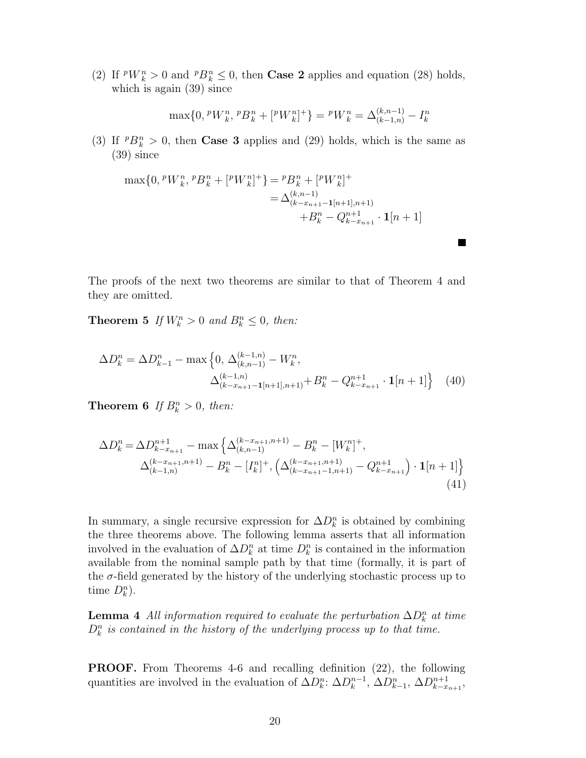(2) If  $^p W_k^n > 0$  and  $^p B_k^n \leq 0$ , then **Case 2** applies and equation (28) holds, which is again (39) since

$$
\max\{0, \, \,^pW_k^n, \, \,^pB_k^n + \, \left[ \,^pW_k^n \right]^+\} = \, \,^pW_k^n = \Delta_{(k-1,n)}^{(k,n-1)} - I_k^n
$$

 $\blacksquare$ 

(3) If  $P B_k^n > 0$ , then **Case 3** applies and (29) holds, which is the same as (39) since

$$
\max\{0, {}^{p}W_{k}^{n}, {}^{p}B_{k}^{n} + [{}^{p}W_{k}^{n}]^{+}\} = {}^{p}B_{k}^{n} + [{}^{p}W_{k}^{n}]^{+}
$$
  

$$
= \Delta_{(k-x_{n+1}-1[n+1],n+1)}^{(k,n-1)}
$$
  

$$
+ B_{k}^{n} - Q_{k-x_{n+1}}^{n+1} \cdot \mathbf{1}[n+1]
$$

The proofs of the next two theorems are similar to that of Theorem 4 and they are omitted.

**Theorem 5** If  $W_k^n > 0$  and  $B_k^n \leq 0$ , then:

$$
\Delta D_k^n = \Delta D_{k-1}^n - \max \left\{ 0, \Delta_{(k,n-1)}^{(k-1,n)} - W_k^n, \Delta_{(k-x_{n+1}-1[n+1], n+1)}^{(k-1,n)} + B_k^n - Q_{k-x_{n+1}}^{n+1} \cdot \mathbf{1}[n+1] \right\} \tag{40}
$$

**Theorem 6** If  $B_k^n > 0$ , then:

$$
\Delta D_k^n = \Delta D_{k-x_{n+1}}^{n+1} - \max \left\{ \Delta_{(k,n-1)}^{(k-x_{n+1},n+1)} - B_k^n - [W_k^n]^+, \right.\n\Delta_{(k-1,n)}^{(k-x_{n+1},n+1)} - B_k^n - [I_k^n]^+, \left( \Delta_{(k-x_{n+1}-1,n+1)}^{(k-x_{n+1},n+1)} - Q_{k-x_{n+1}}^{n+1} \right) \cdot \mathbf{1}[n+1] \right\}
$$
\n(41)

In summary, a single recursive expression for  $\Delta D_k^n$  is obtained by combining<br>the three theorems above. The following lemma asserts that all information the three theorems above. The following lemma asserts that all information involved in the evaluation of  $\Delta D_k^n$  at time  $D_k^n$  is contained in the information<br>available from the nominal sample path by that time (formally it is part of available from the nominal sample path by that time (formally, it is part of the  $\sigma$ -field generated by the history of the underlying stochastic process up to time  $D_k^n$ ).

**Lemma 4** All information required to evaluate the perturbation  $\Delta D_k^n$  at time  $D^n$  is contained in the history of the underlying process up to that time  $D_k^n$  is contained in the history of the underlying process up to that time.

**PROOF.** From Theorems 4-6 and recalling definition (22), the following quantities are involved in the evaluation of  $\Delta D_k^n$ :  $\Delta D_k^{n-1}$ ,  $\Delta D_{k-1}^n$ ,  $\Delta D_{k-x_{n+1}}^{n+1}$ ,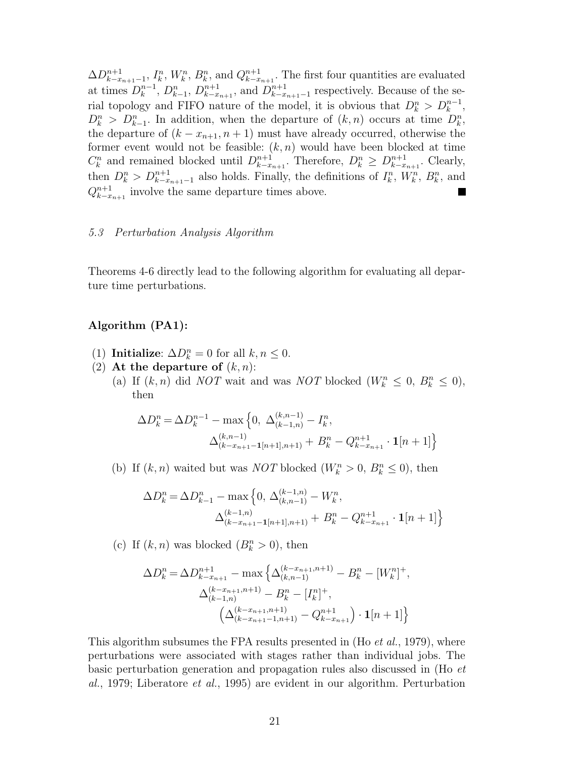$\Delta D_{k-x_{n+1}-1}^{n+1}, I_k^n, W_k^n, B_k^n$ , and  $Q_{k-x_{n+1}}^{n+1}$ . The first four quantities are evaluated<br>
at times  $D^{n-1}$ ,  $D^n$ ,  $D^{n+1}$ , and  $D^{n+1}$ , remestively. Because of the seat times  $D_k^{n-1}$ ,  $D_{k-1}^n$ ,  $D_{k-x_{n+1}}^{n+1}$ , and  $D_{k-x_{n+1}-1}^{n+1}$  respectively. Because of the se-<br>rial tensology and FIFO pature of the model it is obvious that  $D_n^n > D^{n-1}$ rial topology and FIFO nature of the model, it is obvious that  $D_k^n > D_k^{n-1}$ ,<br> $D^n > D^n$  , In addition, when the departure of  $(k, n)$  occurs at time  $D^n$  $D_k^n > D_{k-1}^n$ . In addition, when the departure of  $(k, n)$  occurs at time  $D_k^n$ , the departure of  $(k - x_{k+1}, n+1)$  must have already occurred, otherwise the the departure of  $(k - x_{n+1}, n+1)$  must have already occurred, otherwise the former event would not be feasible:  $(k, n)$  would have been blocked at time  $C_k^n$  and remained blocked until  $D_{k-x_{n+1}}^{n+1}$ . Therefore,  $D_k^n \geq D_{k-x_{n+1}}^{n+1}$ . Clearly,<br>then  $D_n^n \geq D_{k-1}^{n+1}$  also holds Finally the definitions of  $I_n^n$  *M/n*,  $D_n$  and then  $D_k^n > D_{k-x_{n+1}-1}^{n+1}$  also holds. Finally, the definitions of  $I_k^n$ ,  $W_k^n$ ,  $B_k^n$ , and  $O^{n+1}$  involve the same departure times above  $Q_{k-x_{n+1}}^{n+1}$  involve the same departure times above.

#### 5.3 Perturbation Analysis Algorithm

Theorems 4-6 directly lead to the following algorithm for evaluating all departure time perturbations.

# **Algorithm (PA1):**

- (1) **Initialize**:  $\Delta D_k^n = 0$  for all  $k, n \leq 0$ .<br>(2) **At the departure of**  $(k, n)$ .
- (2) At the departure of  $(k, n)$ :
	- (a) If  $(k, n)$  did *NOT* wait and was *NOT* blocked  $(W_k^n \leq 0, B_k^n \leq 0)$ , then then

$$
\Delta D_k^n = \Delta D_k^{n-1} - \max \left\{ 0, \ \Delta_{(k-1,n)}^{(k,n-1)} - I_k^n, \right.\n\Delta_{(k-x_{n+1}-1[n+1],n+1)}^{(k,n-1)} + B_k^n - Q_{k-x_{n+1}}^{n+1} \cdot \mathbf{1}[n+1] \right\}
$$

(b) If  $(k, n)$  waited but was *NOT* blocked  $(W_k^n > 0, B_k^n \leq 0)$ , then

$$
\Delta D_k^n = \Delta D_{k-1}^n - \max\left\{0, \Delta_{(k,n-1)}^{(k-1,n)} - W_k^n, \Delta_{(k-x_{n+1}-1[n+1],n+1)}^{(k-1,n)} + B_k^n - Q_{k-x_{n+1}}^{n+1} \cdot \mathbf{1}[n+1]\right\}
$$

(c) If  $(k, n)$  was blocked  $(B_k^n > 0)$ , then

$$
\Delta D_k^n = \Delta D_{k-x_{n+1}}^{n+1} - \max\left\{\Delta_{(k,n-1)}^{(k-x_{n+1},n+1)} - B_k^n - [W_k^n]^+, \right.\n\Delta_{(k-1,n)}^{(k-x_{n+1},n+1)} - B_k^n - [I_k^n]^+, \n\left(\Delta_{(k-x_{n+1}-1,n+1)}^{(k-x_{n+1},n+1)} - Q_{k-x_{n+1}}^{n+1}\right) \cdot \mathbf{1}[n+1]\right\}
$$

This algorithm subsumes the FPA results presented in  $(Ho et al., 1979)$ , where perturbations were associated with stages rather than individual jobs. The basic perturbation generation and propagation rules also discussed in (Ho et al.,1979; Liberatore et al.,1995) are evident in our algorithm. Perturbation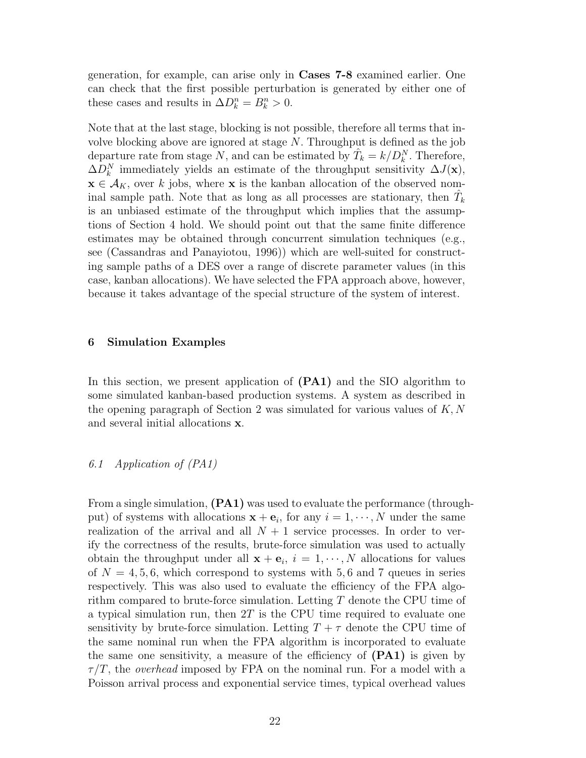generation, for example, can arise only in **Cases 7-8** examined earlier. One can check that the first possible perturbation is generated by either one of these cases and results in  $\Delta D_k^n = B_k^n > 0$ .

Note that at the last stage, blocking is not possible, therefore all terms that involve blocking above are ignored at stage N. Throughput is defined as the job departure rate from stage N, and can be estimated by  $\hat{T}_k = k/D_k^N$ . Therefore,  $\Delta D^N$  immediately violds an estimate of the throughout sonsitivity  $\Delta I(\mathbf{x})$ .  $\Delta D_k^N$  immediately yields an estimate of the throughput sensitivity  $\Delta J(\mathbf{x}),$ <br> $\mathbf{x} \in \Lambda$  is over k jobs, where **x** is the kappen allocation of the observed nom- $\mathbf{x} \in A_K$ , over k jobs, where **x** is the kanban allocation of the observed nominal sample path. Note that as long as all processes are stationary, then  $\hat{T}$  is an unbiased estimate of the throughout which implies that the assump *k* is an unbiased estimate of the throughput which implies that the assumptions of Section 4 hold. We should point out that the same finite difference estimates may be obtained through concurrent simulation techniques (e.g., see (Cassandras and Panayiotou,1996)) which are well-suited for constructing sample paths of a DES over a range of discrete parameter values (in this case, kanban allocations). We have selected the FPA approach above, however, because it takes advantage of the special structure of the system of interest.

## **6 Simulation Examples**

In this section, we present application of  $(PA1)$  and the SIO algorithm to some simulated kanban-based production systems. A system as described in the opening paragraph of Section 2 was simulated for various values of  $K, N$ and several initial allocations **x**.

#### 6.1 Application of (PA1)

From a single simulation, **(PA1)** was used to evaluate the performance (throughput) of systems with allocations  $\mathbf{x} + \mathbf{e}_i$ , for any  $i = 1, \dots, N$  under the same realization of the arrival and all  $N + 1$  service processes. In order to verify the correctness of the results, brute-force simulation was used to actually obtain the throughput under all  $\mathbf{x} + \mathbf{e}_i$ ,  $i = 1, \dots, N$  allocations for values of  $N = 4, 5, 6$ , which correspond to systems with 5,6 and 7 queues in series respectively. This was also used to evaluate the efficiency of the FPA algorithm compared to brute-force simulation. Letting  $T$  denote the CPU time of a typical simulation run, then  $2T$  is the CPU time required to evaluate one sensitivity by brute-force simulation. Letting  $T + \tau$  denote the CPU time of the same nominal run when the FPA algorithm is incorporated to evaluate the same one sensitivity, a measure of the efficiency of  $(PA1)$  is given by  $\tau/T$ , the *overhead* imposed by FPA on the nominal run. For a model with a Poisson arrival process and exponential service times, typical overhead values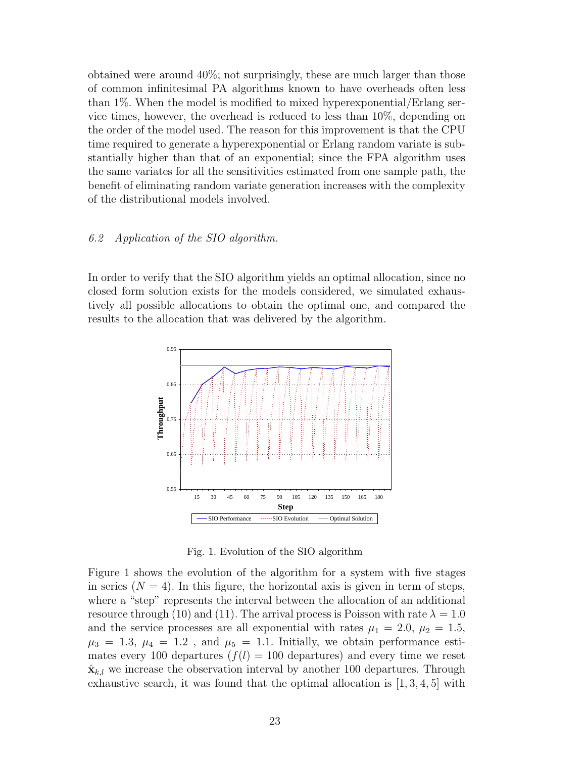obtained were around  $40\%$ ; not surprisingly, these are much larger than those of common infinitesimal PA algorithms known to have overheads often less than 1%. When the model is modified to mixed hyperexponential/Erlang service times, however, the overhead is reduced to less than  $10\%$ , depending on the order of the model used. The reason for this improvement is that the CPU time required to generate a hyperexponential or Erlang random variate is substantially higher than that of an exponential; since the FPA algorithm uses the same variates for all the sensitivities estimated from one sample path, the benefit of eliminating random variate generation increases with the complexity of the distributional models involved.

## 6.2 Application of the SIO algorithm.

In order to verify that the SIO algorithm yields an optimal allocation, since no closed form solution exists for the models considered, we simulated exhaustively all possible allocations to obtain the optimal one,and compared the results to the allocation that was delivered by the algorithm.



Fig. 1. Evolution of the SIO algorithm

Figure 1 shows the evolution of the algorithm for a system with five stages in series  $(N = 4)$ . In this figure, the horizontal axis is given in term of steps, where a "step" represents the interval between the allocation of an additional resource through (10) and (11). The arrival process is Poisson with rate  $\lambda = 1.0$ and the service processes are all exponential with rates  $\mu_1 = 2.0, \mu_2 = 1.5,$  $\mu_3 = 1.3, \mu_4 = 1.2$ , and  $\mu_5 = 1.1$ . Initially, we obtain performance estimates every 100 departures  $(f(l) = 100$  departures) and every time we reset  $\hat{\mathbf{x}}_{k,l}$  we increase the observation interval by another 100 departures. Through exhaustive search, it was found that the optimal allocation is  $[1, 3, 4, 5]$  with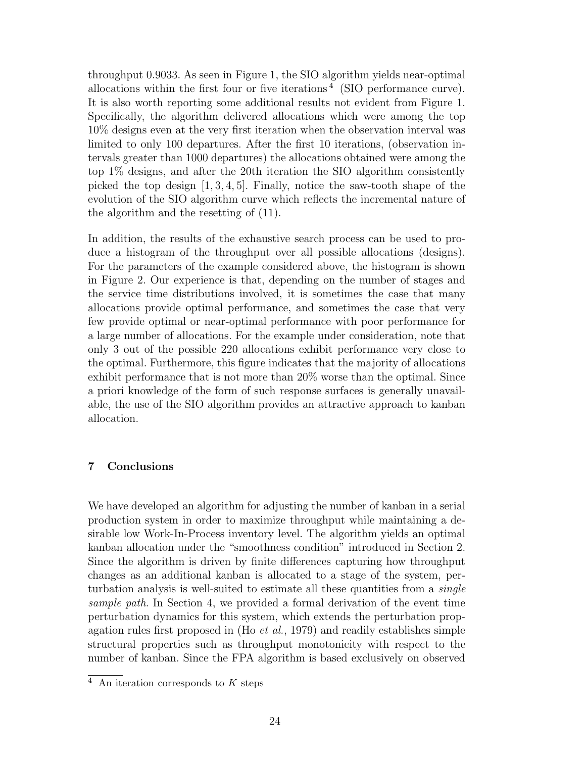throughput 0.9033. As seen in Figure 1, the SIO algorithm yields near-optimal allocations within the first four or five iterations<sup>4</sup> (SIO performance curve). It is also worth reporting some additional results not evident from Figure 1. Specifically, the algorithm delivered allocations which were among the top 10% designs even at the very first iteration when the observation interval was limited to only 100 departures. After the first 10 iterations, (observation intervals greater than 1000 departures) the allocations obtained were among the top  $1\%$  designs, and after the 20th iteration the SIO algorithm consistently picked the top design  $[1, 3, 4, 5]$ . Finally, notice the saw-tooth shape of the evolution of the SIO algorithm curve which reflects the incremental nature of the algorithm and the resetting of (11).

In addition, the results of the exhaustive search process can be used to produce a histogram of the throughput over all possible allocations (designs). For the parameters of the example considered above, the histogram is shown in Figure 2. Our experience is that, depending on the number of stages and the service time distributions involved, it is sometimes the case that many allocations provide optimal performance,and sometimes the case that very few provide optimal or near-optimal performance with poor performance for a large number of allocations. For the example under consideration, note that only 3 out of the possible 220 allocations exhibit performance very close to the optimal. Furthermore, this figure indicates that the majority of allocations exhibit performance that is not more than 20% worse than the optimal. Since a priori knowledge of the form of such response surfaces is generally unavailable, the use of the SIO algorithm provides an attractive approach to kanban allocation.

# **7 Conclusions**

We have developed an algorithm for adjusting the number of kanban in a serial production system in order to maximize throughput while maintaining a desirable low Work-In-Process inventory level. The algorithm yields an optimal kanban allocation under the "smoothness condition" introduced in Section 2. Since the algorithm is driven by finite differences capturing how throughput changes as an additional kanban is allocated to a stage of the system, perturbation analysis is well-suited to estimate all these quantities from a *single* sample path. In Section 4, we provided a formal derivation of the event time perturbation dynamics for this system,which extends the perturbation propagation rules first proposed in (Ho et al.,1979) and readily establishes simple structural properties such as throughput monotonicity with respect to the number of kanban. Since the FPA algorithm is based exclusively on observed

An iteration corresponds to  $K$  steps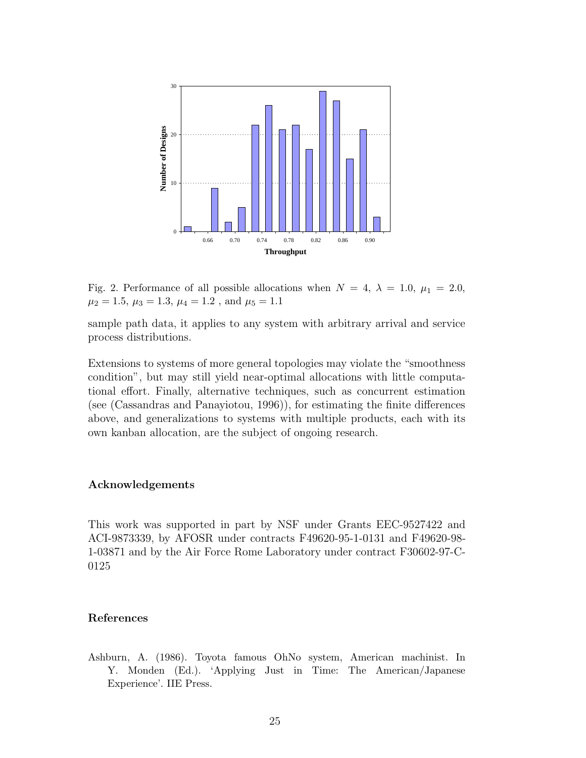

Fig. 2. Performance of all possible allocations when  $N = 4$ ,  $\lambda = 1.0$ ,  $\mu_1 = 2.0$ ,  $\mu_2 = 1.5, \mu_3 = 1.3, \mu_4 = 1.2$ , and  $\mu_5 = 1.1$ 

sample path data, it applies to any system with arbitrary arrival and service process distributions.

Extensions to systems of more general topologies may violate the "smoothness condition", but may still yield near-optimal allocations with little computational effort. Finally, alternative techniques, such as concurrent estimation (see (Cassandras and Panayiotou,  $1996$ )), for estimating the finite differences above, and generalizations to systems with multiple products, each with its own kanban allocation, are the subject of ongoing research.

# **Acknowledgements**

This work was supported in part by NSF under Grants EEC-9527422 and ACI-9873339,by AFOSR under contracts F49620-95-1-0131 and F49620-98- 1-03871 and by the Air Force Rome Laboratory under contract F30602-97-C-0125

# **References**

Ashburn, A. (1986). Toyota famous OhNo system, American machinist. In Y. Monden (Ed.). 'Applying Just in Time: The American/Japanese Experience'. IIE Press.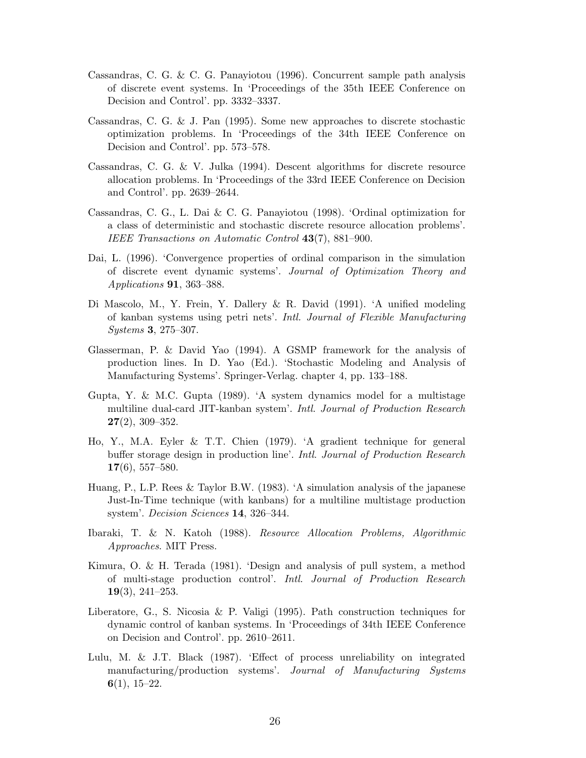- Cassandras, C. G. & C. G. Panayiotou (1996). Concurrent sample path analysis of discrete event systems. In 'Proceedings of the 35th IEEE Conference on Decision and Control'. pp. 3332–3337.
- Cassandras, C. G. & J. Pan (1995). Some new approaches to discrete stochastic optimization problems. In 'Proceedings of the 34th IEEE Conference on Decision and Control'. pp. 573–578.
- Cassandras, C. G. & V. Julka (1994). Descent algorithms for discrete resource allocation problems. In 'Proceedings of the 33rd IEEE Conference on Decision and Control'. pp. 2639–2644.
- Cassandras, C. G., L. Dai & C. G. Panayiotou (1998). 'Ordinal optimization for a class of deterministic and stochastic discrete resource allocation problems'. *IEEE Transactions on Automatic Control* **43**(7), 881–900.
- Dai, L. (1996). 'Convergence properties of ordinal comparison in the simulation of discrete event dynamic systems'. *Journal of Optimization Theory and Applications* **91**, 363–388.
- Di Mascolo, M., Y. Frein, Y. Dallery & R. David (1991). 'A unified modeling of kanban systems using petri nets'. *Intl. Journal of Flexible Manufacturing Systems* **3**, 275–307.
- Glasserman, P. & David Yao (1994). A GSMP framework for the analysis of production lines. In D. Yao (Ed.). 'Stochastic Modeling and Analysis of Manufacturing Systems'. Springer-Verlag. chapter 4, pp. 133–188.
- Gupta, Y. & M.C. Gupta (1989). 'A system dynamics model for a multistage multiline dual-card JIT-kanban system'. *Intl. Journal of Production Research* **27**(2), 309–352.
- Ho, Y., M.A. Eyler & T.T. Chien (1979). 'A gradient technique for general buffer storage design in production line'. *Intl. Journal of Production Research* **17**(6), 557–580.
- Huang, P., L.P. Rees & Taylor B.W. (1983). 'A simulation analysis of the japanese Just-In-Time technique (with kanbans) for a multiline multistage production system'. *Decision Sciences* **14**, 326–344.
- Ibaraki, T. & N. Katoh (1988). *Resource Allocation Problems, Algorithmic Approaches*. MIT Press.
- Kimura, O. & H. Terada (1981). 'Design and analysis of pull system, a method of multi-stage production control'. *Intl. Journal of Production Research* **19**(3), 241–253.
- Liberatore, G., S. Nicosia & P. Valigi (1995). Path construction techniques for dynamic control of kanban systems. In 'Proceedings of 34th IEEE Conference on Decision and Control'. pp. 2610–2611.
- Lulu, M. & J.T. Black (1987). 'Effect of process unreliability on integrated manufacturing/production systems'. *Journal of Manufacturing Systems* **6**(1), 15–22.